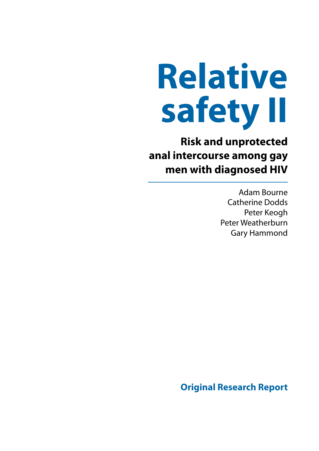# **Relative safety II**

**Risk and unprotected anal intercourse among gay men with diagnosed HIV**

> Adam Bourne Catherine Dodds Peter Keogh Peter Weatherburn Gary Hammond

**Original Research Report**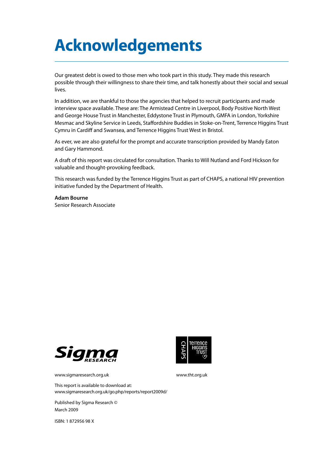# **Acknowledgements**

Our greatest debt is owed to those men who took part in this study. They made this research possible through their willingness to share their time, and talk honestly about their social and sexual lives.

In addition, we are thankful to those the agencies that helped to recruit participants and made interview space available. These are: The Armistead Centre in Liverpool, Body Positive North West and George House Trust in Manchester, Eddystone Trust in Plymouth, GMFA in London, Yorkshire Mesmac and Skyline Service in Leeds, Staffordshire Buddies in Stoke-on-Trent, Terrence Higgins Trust Cymru in Cardiff and Swansea, and Terrence Higgins Trust West in Bristol.

As ever, we are also grateful for the prompt and accurate transcription provided by Mandy Eaton and Gary Hammond.

A draft of this report was circulated for consultation. Thanks to Will Nutland and Ford Hickson for valuable and thought-provoking feedback.

This research was funded by the Terrence Higgins Trust as part of CHAPS, a national HIV prevention initiative funded by the Department of Health.

#### **Adam Bourne**

Senior Research Associate





[www.sigmaresearch.org.uk](http://www.sigmaresearch.org.uk	) [www.tht.org.uk](http://www.tht.org.uk)

This report is available to download at: [www.sigmaresearch.org.uk/go.php/reports/report2009d/](http://www.sigmaresearch.org.uk/go.php/reports/report2009d/)

Published by Sigma Research © March 2009

ISBN: 1 872956 98 X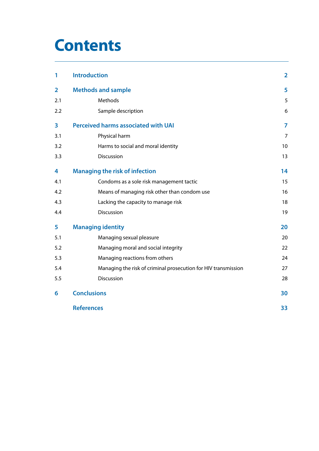# **Contents**

| 1                       | <b>Introduction</b>                                            | $\overline{\mathbf{2}}$ |  |
|-------------------------|----------------------------------------------------------------|-------------------------|--|
| $\overline{\mathbf{2}}$ | <b>Methods and sample</b>                                      | 5                       |  |
| 2.1                     | Methods                                                        | 5                       |  |
| 2.2                     | Sample description                                             | 6                       |  |
| 3                       | <b>Perceived harms associated with UAI</b>                     |                         |  |
| 3.1                     | Physical harm                                                  | $\overline{7}$          |  |
| 3.2                     | Harms to social and moral identity                             | 10                      |  |
| 3.3                     | Discussion                                                     | 13                      |  |
| 4                       | <b>Managing the risk of infection</b>                          | 14                      |  |
| 4.1                     | Condoms as a sole risk management tactic                       | 15                      |  |
| 4.2                     | Means of managing risk other than condom use                   | 16                      |  |
| 4.3                     | Lacking the capacity to manage risk                            | 18                      |  |
| 4.4                     | Discussion                                                     | 19                      |  |
| 5                       | <b>Managing identity</b>                                       |                         |  |
| 5.1                     | Managing sexual pleasure                                       | 20                      |  |
| 5.2                     | Managing moral and social integrity                            | 22                      |  |
| 5.3                     | Managing reactions from others                                 | 24                      |  |
| 5.4                     | Managing the risk of criminal prosecution for HIV transmission | 27                      |  |
| 5.5                     | Discussion                                                     | 28                      |  |
| 6                       | <b>Conclusions</b>                                             | 30                      |  |
|                         | <b>References</b>                                              | 33                      |  |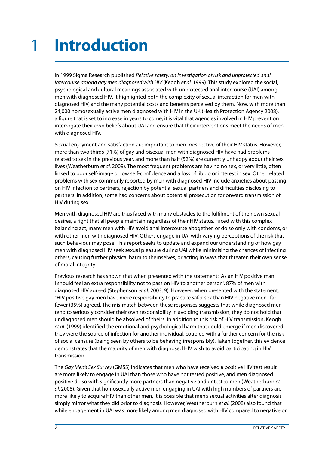### <span id="page-3-0"></span>**Introduction** 1

In 1999 Sigma Research published *Relative safety: an investigation of risk and unprotected anal intercourse among gay men diagnosed with HIV* (Keogh *et al.* 1999). This study explored the social, psychological and cultural meanings associated with unprotected anal intercourse (UAI) among men with diagnosed HIV. It highlighted both the complexity of sexual interaction for men with diagnosed HIV, and the many potential costs and benefits perceived by them. Now, with more than 24,000 homosexually active men diagnosed with HIV in the UK (Health Protection Agency 2008), a figure that is set to increase in years to come, it is vital that agencies involved in HIV prevention interrogate their own beliefs about UAI and ensure that their interventions meet the needs of men with diagnosed HIV.

Sexual enjoyment and satisfaction are important to men irrespective of their HIV status. However, more than two thirds (71%) of gay and bisexual men with diagnosed HIV have had problems related to sex in the previous year, and more than half (52%) are currently unhappy about their sex lives (Weatherburn *et al.* 2009). The most frequent problems are having no sex, or very little, often linked to poor self-image or low self-confidence and a loss of libido or interest in sex. Other related problems with sex commonly reported by men with diagnosed HIV include anxieties about passing on HIV infection to partners, rejection by potential sexual partners and difficulties disclosing to partners. In addition, some had concerns about potential prosecution for onward transmission of HIV during sex.

Men with diagnosed HIV are thus faced with many obstacles to the fulfilment of their own sexual desires, a right that all people maintain regardless of their HIV status. Faced with this complex balancing act, many men with HIV avoid anal intercourse altogether, or do so only with condoms, or with other men with diagnosed HIV. Others engage in UAI with varying perceptions of the risk that such behaviour may pose. This report seeks to update and expand our understanding of how gay men with diagnosed HIV seek sexual pleasure during UAI while minimising the chances of infecting others, causing further physical harm to themselves, or acting in ways that threaten their own sense of moral integrity.

Previous research has shown that when presented with the statement: "As an HIV positive man I should feel an extra responsibility not to pass on HIV to another person", 87% of men with diagnosed HIV agreed (Stephenson *et al.* 2003: 9). However, when presented with the statement: "HIV positive gay men have more responsibility to practice safer sex than HIV negative men", far fewer (35%) agreed. The mis-match between these responses suggests that while diagnosed men tend to seriously consider their own responsibility in avoiding transmission, they do not hold that undiagnosed men should be absolved of theirs. In addition to this risk of HIV transmission, Keogh *et al*. (1999) identified the emotional and psychological harm that could emerge if men discovered they were the source of infection for another individual, coupled with a further concern for the risk of social censure (being seen by others to be behaving irresponsibly). Taken together, this evidence demonstrates that the majority of men with diagnosed HIV wish to avoid participating in HIV transmission.

The *Gay Men's Sex Survey* (GMSS) indicates that men who have received a positive HIV test result are more likely to engage in UAI than those who have not tested positive, and men diagnosed positive do so with significantly more partners than negative and untested men (Weatherburn *et al.* 2008). Given that homosexually active men engaging in UAI with high numbers of partners are more likely to acquire HIV than other men, it is possible that men's sexual activities after diagnosis simply mirror what they did prior to diagnosis. However, Weatherburn *et al.* (2008) also found that while engagement in UAI was more likely among men diagnosed with HIV compared to negative or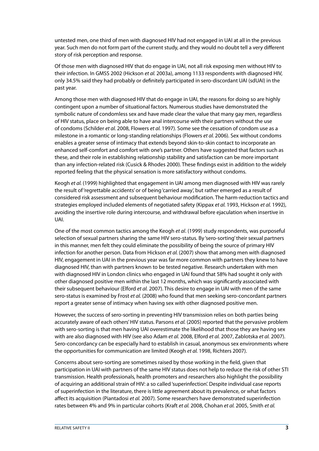untested men, one third of men with diagnosed HIV had not engaged in UAI at all in the previous year. Such men do not form part of the current study, and they would no doubt tell a very different story of risk perception and response.

Of those men with diagnosed HIV that do engage in UAI, not all risk exposing men without HIV to their infection. In GMSS 2002 (Hickson *et al.* 2003a), among 1133 respondents with diagnosed HIV, only 34.5% said they had probably or definitely participated in sero-discordant UAI (sdUAI) in the past year.

Among those men with diagnosed HIV that do engage in UAI, the reasons for doing so are highly contingent upon a number of situational factors. Numerous studies have demonstrated the symbolic nature of condomless sex and have made clear the value that many gay men, regardless of HIV status, place on being able to have anal intercourse with their partners without the use of condoms (Schilder *et al.* 2008, Flowers *et al.* 1997). Some see the cessation of condom use as a milestone in a romantic or long-standing relationships (Flowers *et al.* 2006). Sex without condoms enables a greater sense of intimacy that extends beyond skin-to-skin contact to incorporate an enhanced self-comfort and comfort with one's partner. Others have suggested that factors such as these, and their role in establishing relationship stability and satisfaction can be more important than any infection-related risk (Cusick & Rhodes 2000). These findings exist in addition to the widely reported feeling that the physical sensation is more satisfactory without condoms.

Keogh *et al.* (1999) highlighted that engagement in UAI among men diagnosed with HIV was rarely the result of 'regrettable accidents' or of being 'carried away', but rather emerged as a result of considered risk assessment and subsequent behaviour modification. The harm-reduction tactics and strategies employed included elements of negotiated safety (Kippax *et al.* 1993, Hickson *et al.* 1992), avoiding the insertive role during intercourse, and withdrawal before ejaculation when insertive in UAI.

One of the most common tactics among the Keogh *et al*. (1999) study respondents, was purposeful selection of sexual partners sharing the same HIV sero-status. By 'sero-sorting' their sexual partners in this manner, men felt they could eliminate the possibility of being the source of primary HIV infection for another person. Data from Hickson *et al.* (2007) show that among men with diagnosed HIV, engagement in UAI in the previous year was far more common with partners they knew to have diagnosed HIV, than with partners known to be tested negative. Research undertaken with men with diagnosed HIV in London clinics who engaged in UAI found that 58% had sought it only with other diagnosed positive men within the last 12 months, which was significantly associated with their subsequent behaviour (Elford *et al.* 2007). This desire to engage in UAI with men of the same sero-status is examined by Frost *et al.* (2008) who found that men seeking sero-concordant partners report a greater sense of intimacy when having sex with other diagnosed positive men.

However, the success of sero-sorting in preventing HIV transmission relies on both parties being accurately aware of each others' HIV status. Parsons *et al.* (2005) reported that the pervasive problem with sero-sorting is that men having UAI overestimate the likelihood that those they are having sex with are also diagnosed with HIV (see also Adam *et al.* 2008, Elford *et al.* 2007, Zablotska *et al.* 2007). Sero-concordancy can be especially hard to establish in casual, anonymous sex environments where the opportunities for communication are limited (Keogh *et al.* 1998, Richters 2007).

Concerns about sero-sorting are sometimes raised by those working in the field, given that participation in UAI with partners of the same HIV status does not help to reduce the risk of other STI transmission. Health professionals, health promoters and researchers also highlight the possibility of acquiring an additional strain of HIV: a so called 'superinfection'. Despite individual case reports of superinfection in the literature, there is little agreement about its prevalence, or what factors affect its acquisition (Piantadosi *et al.* 2007). Some researchers have demonstrated superinfection rates between 4% and 9% in particular cohorts (Kraft *et al.* 2008, Chohan *et al.* 2005, Smith *et al.*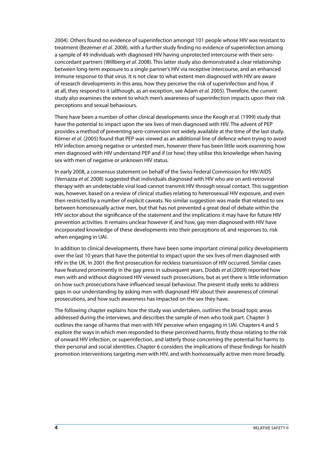2004). Others found no evidence of superinfection amongst 101 people whose HIV was resistant to treatment (Bezemer *et al.* 2008), with a further study finding no evidence of superinfection among a sample of 49 individuals with diagnosed HIV having unprotected intercourse with their seroconcordant partners (Willberg *et al.* 2008). This latter study also demonstrated a clear relationship between long-term exposure to a single partner's HIV via receptive intercourse, and an enhanced immune response to that virus. It is not clear to what extent men diagnosed with HIV are aware of research developments in this area, how they perceive the risk of superinfection and how, if at all, they respond to it (although, as an exception, see Adam *et al.* 2005). Therefore, the current study also examines the extent to which men's awareness of superinfection impacts upon their risk perceptions and sexual behaviours.

There have been a number of other clinical developments since the Keogh *et al.* (1999) study that have the potential to impact upon the sex lives of men diagnosed with HIV. The advent of PEP provides a method of preventing sero-conversion not widely available at the time of the last study. Körner *et al.* (2005) found that PEP was viewed as an additional line of defence when trying to avoid HIV infection among negative or untested men, however there has been little work examining how men diagnosed with HIV understand PEP and if (or how) they utilise this knowledge when having sex with men of negative or unknown HIV status.

In early 2008, a consensus statement on behalf of the Swiss Federal Commission for HIV/AIDS (Vernazza *et al.* 2008) suggested that individuals diagnosed with HIV who are on anti-retroviral therapy with an undetectable viral load cannot transmit HIV through sexual contact. This suggestion was, however, based on a review of clinical studies relating to heterosexual HIV exposure, and even then restricted by a number of explicit caveats. No similar suggestion was made that related to sex between homosexually active men, but that has not prevented a great deal of debate within the HIV sector about the significance of the statement and the implications it may have for future HIV prevention activities. It remains unclear however if, and how, gay men diagnosed with HIV have incorporated knowledge of these developments into their perceptions of, and responses to, risk when engaging in UAI.

In addition to clinical developments, there have been some important criminal policy developments over the last 10 years that have the potential to impact upon the sex lives of men diagnosed with HIV in the UK. In 2001 the first prosecution for reckless transmission of HIV occurred. Similar cases have featured prominently in the gay press in subsequent years. Dodds *et al.*(2009) reported how men with and without diagnosed HIV viewed such prosecutions, but as yet there is little information on how such prosecutions have influenced sexual behaviour. The present study seeks to address gaps in our understanding by asking men with diagnosed HIV about their awareness of criminal prosecutions, and how such awareness has impacted on the sex they have.

The following chapter explains how the study was undertaken, outlines the broad topic areas addressed during the interviews, and describes the sample of men who took part. Chapter 3 outlines the range of harms that men with HIV perceive when engaging in UAI. Chapters 4 and 5 explore the ways in which men responded to these perceived harms, firstly those relating to the risk of onward HIV infection, or superinfection, and latterly those concerning the potential for harms to their personal and social identities. Chapter 6 considers the implications of these findings for health promotion interventions targeting men with HIV, and with homosexually active men more broadly.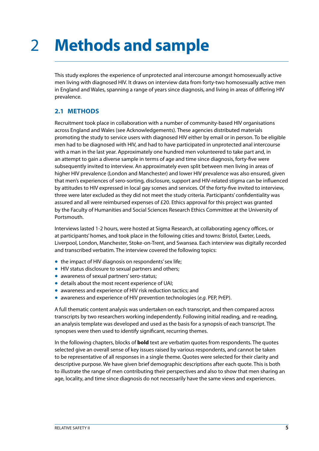### <span id="page-6-0"></span>**Methods and sample** 2

This study explores the experience of unprotected anal intercourse amongst homosexually active men living with diagnosed HIV. It draws on interview data from forty-two homosexually active men in England and Wales, spanning a range of years since diagnosis, and living in areas of differing HIV prevalence.

#### **2.1 Methods**

Recruitment took place in collaboration with a number of community-based HIV organisations across England and Wales (see Acknowledgements). These agencies distributed materials promoting the study to service users with diagnosed HIV either by email or in person. To be eligible men had to be diagnosed with HIV, and had to have participated in unprotected anal intercourse with a man in the last year. Approximately one hundred men volunteered to take part and, in an attempt to gain a diverse sample in terms of age and time since diagnosis, forty-five were subsequently invited to interview. An approximately even split between men living in areas of higher HIV prevalence (London and Manchester) and lower HIV prevalence was also ensured, given that men's experiences of sero-sorting, disclosure, support and HIV-related stigma can be influenced by attitudes to HIV expressed in local gay scenes and services. Of the forty-five invited to interview, three were later excluded as they did not meet the study criteria. Participants' confidentiality was assured and all were reimbursed expenses of £20. Ethics approval for this project was granted by the Faculty of Humanities and Social Sciences Research Ethics Committee at the University of Portsmouth.

Interviews lasted 1-2 hours, were hosted at Sigma Research, at collaborating agency offices, or at participants' homes, and took place in the following cities and towns: Bristol, Exeter, Leeds, Liverpool, London, Manchester, Stoke-on-Trent, and Swansea. Each interview was digitally recorded and transcribed verbatim. The interview covered the following topics:

- the impact of HIV diagnosis on respondents' sex life;
- HIV status disclosure to sexual partners and others:
- awareness of sexual partners' sero-status;
- details about the most recent experience of UAI;
- awareness and experience of HIV risk reduction tactics; and
- awareness and experience of HIV prevention technologies (*e.g.* PEP, PrEP).

A full thematic content analysis was undertaken on each transcript, and then compared across transcripts by two researchers working independently. Following initial reading, and re-reading, an analysis template was developed and used as the basis for a synopsis of each transcript. The synopses were then used to identify significant, recurring themes.

In the following chapters, blocks of **bold** text are verbatim quotes from respondents. The quotes selected give an overall sense of key issues raised by various respondents, and cannot be taken to be representative of all responses in a single theme. Quotes were selected for their clarity and descriptive purpose. We have given brief demographic descriptions after each quote. This is both to illustrate the range of men contributing their perspectives and also to show that men sharing an age, locality, and time since diagnosis do not necessarily have the same views and experiences.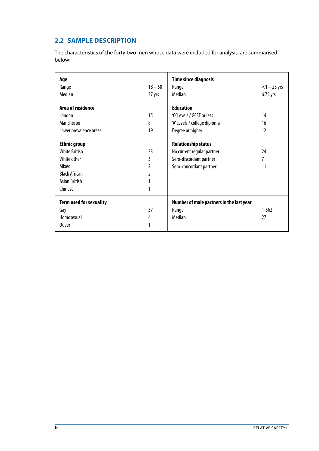#### <span id="page-7-0"></span>**2.2 Sample description**

The characteristics of the forty-two men whose data were included for analysis, are summarised below:

| Age                            |           | <b>Time since diagnosis</b>              |                |
|--------------------------------|-----------|------------------------------------------|----------------|
| Range                          | $18 - 58$ | Range                                    | $<$ 1 – 23 yrs |
| Median                         | 37 yrs    | Median                                   | 6.75 yrs       |
| Area of residence              |           | <b>Education</b>                         |                |
| <b>London</b>                  | 15        | 'O' Levels / GCSE or less                | 14             |
| Manchester                     | 8         | 'A' Levels / college diploma             | 16             |
| Lower prevalence areas         | 19        | Degree or higher                         | 12             |
| <b>Ethnic group</b>            |           | <b>Relationship status</b>               |                |
| <b>White British</b>           | 33        | No current regular partner               | 24             |
| White other                    | 3         | Sero-discordant partner                  | 7              |
| Mixed                          | 2         | Sero-concordant partner                  | 11             |
| <b>Black African</b>           | 2         |                                          |                |
| Asian British                  | 1         |                                          |                |
| Chinese                        | 1         |                                          |                |
| <b>Term used for sexuality</b> |           | Number of male partners in the last year |                |
| Gay                            | 37        | Range                                    | $1 - 562$      |
| Homosexual                     | 4         | Median                                   | 27             |
| Queer                          | 1         |                                          |                |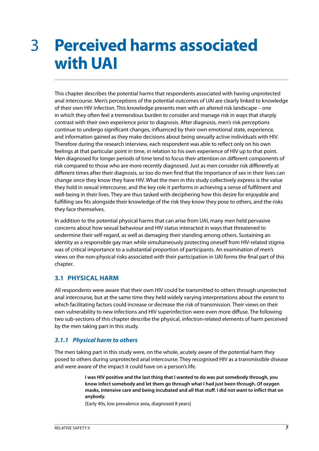## <span id="page-8-0"></span>**Perceived harms associated with UAI**  3

This chapter describes the potential harms that respondents associated with having unprotected anal intercourse. Men's perceptions of the potential outcomes of UAI are clearly linked to knowledge of their own HIV infection. This knowledge presents men with an altered risk landscape – one in which they often feel a tremendous burden to consider and manage risk in ways that sharply contrast with their own experience prior to diagnosis. After diagnosis, men's risk perceptions continue to undergo significant changes, influenced by their own emotional state, experience, and information gained as they make decisions about being sexually active individuals with HIV. Therefore during the research interview, each respondent was able to reflect only on his own feelings at that particular point in time, in relation to his own experience of HIV up to that point. Men diagnosed for longer periods of time tend to focus their attention on different components of risk compared to those who are more recently diagnosed. Just as men consider risk differently at different times after their diagnosis, so too do men find that the importance of sex in their lives can change once they know they have HIV. What the men in this study collectively express is the value they hold in sexual intercourse, and the key role it performs in achieving a sense of fulfilment and well-being in their lives. They are thus tasked with deciphering how this desire for enjoyable and fulfilling sex fits alongside their knowledge of the risk they know they pose to others, and the risks they face themselves.

In addition to the potential physical harms that can arise from UAI, many men held pervasive concerns about how sexual behaviour and HIV status interacted in ways that threatened to undermine their self-regard, as well as damaging their standing among others. Sustaining an identity as a responsible gay man while simultaneously protecting oneself from HIV-related stigma was of critical importance to a substantial proportion of participants. An examination of men's views on the non-physical risks associated with their participation in UAI forms the final part of this chapter.

#### **3.1 Physical harm**

All respondents were aware that their own HIV could be transmitted to others through unprotected anal intercourse, but at the same time they held widely varying interpretations about the extent to which facilitating factors could increase or decrease the risk of transmission. Their views on their own vulnerability to new infections and HIV superinfection were even more diffuse. The following two sub-sections of this chapter describe the physical, infection-related elements of harm perceived by the men taking part in this study.

#### *3.1.1 Physical harm to others*

The men taking part in this study were, on the whole, acutely aware of the potential harm they posed to others during unprotected anal intercourse. They recognised HIV as a transmissible disease and were aware of the impact it could have on a person's life.

> **I was HIV positive and the last thing that I wanted to do was put somebody through, you know infect somebody and let them go through what I had just been through. Of oxygen masks, intensive care and being incubated and all that stuff. I did not want to inflict that on anybody.**

[Early 40s, low prevalence area, diagnosed 8 years]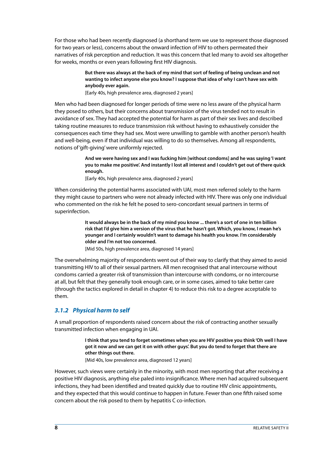For those who had been recently diagnosed (a shorthand term we use to represent those diagnosed for two years or less), concerns about the onward infection of HIV to others permeated their narratives of risk perception and reduction. It was this concern that led many to avoid sex altogether for weeks, months or even years following first HIV diagnosis.

> **But there was always at the back of my mind that sort of feeling of being unclean and not wanting to infect anyone else you know? I suppose that idea of why I can't have sex with anybody ever again.**

[Early 40s, high prevalence area, diagnosed 2 years]

Men who had been diagnosed for longer periods of time were no less aware of the physical harm they posed to others, but their concerns about transmission of the virus tended not to result in avoidance of sex. They had accepted the potential for harm as part of their sex lives and described taking routine measures to reduce transmission risk without having to exhaustively consider the consequences each time they had sex. Most were unwilling to gamble with another person's health and well-being, even if that individual was willing to do so themselves. Among all respondents, notions of 'gift-giving' were uniformly rejected.

> **And we were having sex and I was fucking him [without condoms] and he was saying 'I want you to make me positive'. And instantly I lost all interest and I couldn't get out of there quick enough.**

[Early 40s, high prevalence area, diagnosed 2 years]

When considering the potential harms associated with UAI, most men referred solely to the harm they might cause to partners who were not already infected with HIV. There was only one individual who commented on the risk he felt he posed to sero-concordant sexual partners in terms of superinfection.

> **It would always be in the back of my mind you know ... there's a sort of one in ten billion risk that I'd give him a version of the virus that he hasn't got. Which, you know, I mean he's younger and I certainly wouldn't want to damage his health you know. I'm considerably older and I'm not too concerned.**

[Mid 50s, high prevalence area, diagnosed 14 years]

The overwhelming majority of respondents went out of their way to clarify that they aimed to avoid transmitting HIV to all of their sexual partners. All men recognised that anal intercourse without condoms carried a greater risk of transmission than intercourse with condoms, or no intercourse at all, but felt that they generally took enough care, or in some cases, aimed to take better care (through the tactics explored in detail in chapter 4) to reduce this risk to a degree acceptable to them.

#### *3.1.2 Physical harm to self*

A small proportion of respondents raised concern about the risk of contracting another sexually transmitted infection when engaging in UAI.

> **I think that you tend to forget sometimes when you are HIV positive you think 'Oh well I have got it now and we can get it on with other guys'. But you do tend to forget that there are other things out there.**

[Mid 40s, low prevalence area, diagnosed 12 years]

However, such views were certainly in the minority, with most men reporting that after receiving a positive HIV diagnosis, anything else paled into insignificance. Where men had acquired subsequent infections, they had been identified and treated quickly due to routine HIV clinic appointments, and they expected that this would continue to happen in future. Fewer than one fifth raised some concern about the risk posed to them by hepatitis C co-infection.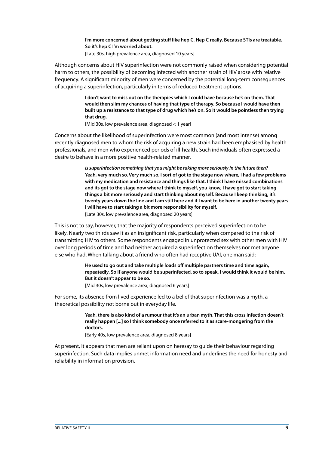**I'm more concerned about getting stuff like hep C. Hep C really. Because STIs are treatable. So it's hep C I'm worried about.** 

[Late 30s, high prevalence area, diagnosed 10 years]

Although concerns about HIV superinfection were not commonly raised when considering potential harm to others, the possibility of becoming infected with another strain of HIV arose with relative frequency. A significant minority of men were concerned by the potential long-term consequences of acquiring a superinfection, particularly in terms of reduced treatment options.

> **I don't want to miss out on the therapies which I could have because he's on them. That would then slim my chances of having that type of therapy. So because I would have then built up a resistance to that type of drug which he's on. So it would be pointless then trying that drug.**

[Mid 30s, low prevalence area, diagnosed < 1 year]

Concerns about the likelihood of superinfection were most common (and most intense) among recently diagnosed men to whom the risk of acquiring a new strain had been emphasised by health professionals, and men who experienced periods of ill-health. Such individuals often expressed a desire to behave in a more positive health-related manner.

> *Is superinfection something that you might be taking more seriously in the future then?* **Yeah, very much so. Very much so. I sort of got to the stage now where, I had a few problems with my medication and resistance and things like that. I think I have missed combinations and its got to the stage now where I think to myself, you know, I have got to start taking things a bit more seriously and start thinking about myself. Because I keep thinking, it's twenty years down the line and I am still here and if I want to be here in another twenty years I will have to start taking a bit more responsibility for myself.**  [Late 30s, low prevalence area, diagnosed 20 years]

This is not to say, however, that the majority of respondents perceived superinfection to be likely. Nearly two thirds saw it as an insignificant risk, particularly when compared to the risk of transmitting HIV to others. Some respondents engaged in unprotected sex with other men with HIV over long periods of time and had neither acquired a superinfection themselves nor met anyone else who had. When talking about a friend who often had receptive UAI, one man said:

> **He used to go out and take multiple loads off multiple partners time and time again, repeatedly. So if anyone would be superinfected, so to speak, I would think it would be him. But it doesn't appear to be so.**

[Mid 30s, low prevalence area, diagnosed 6 years]

For some, its absence from lived experience led to a belief that superinfection was a myth, a theoretical possibility not borne out in everyday life.

> **Yeah, there is also kind of a rumour that it's an urban myth. That this cross infection doesn't really happen [...] so I think somebody once referred to it as scare-mongering from the doctors.**

[Early 40s, low prevalence area, diagnosed 8 years]

At present, it appears that men are reliant upon on heresay to guide their behaviour regarding superinfection. Such data implies unmet information need and underlines the need for honesty and reliability in information provision.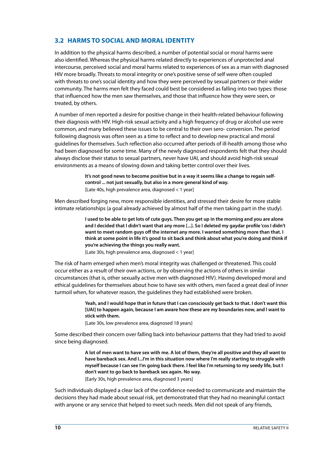#### <span id="page-11-0"></span>**3.2 Harms to social and moral identity**

In addition to the physical harms described, a number of potential social or moral harms were also identified. Whereas the physical harms related directly to experiences of unprotected anal intercourse, perceived social and moral harms related to experiences of sex as a man with diagnosed HIV more broadly. Threats to moral integrity or one's positive sense of self were often coupled with threats to one's social identity and how they were perceived by sexual partners or their wider community. The harms men felt they faced could best be considered as falling into two types: those that influenced how the men saw themselves, and those that influence how they were seen, or treated, by others.

A number of men reported a desire for positive change in their health-related behaviour following their diagnosis with HIV. High-risk sexual activity and a high frequency of drug or alcohol use were common, and many believed these issues to be central to their own sero- conversion. The period following diagnosis was often seen as a time to reflect and to develop new practical and moral guidelines for themselves. Such reflection also occurred after periods of ill-health among those who had been diagnosed for some time. Many of the newly diagnosed respondents felt that they should always disclose their status to sexual partners, never have UAI, and should avoid high-risk sexual environments as a means of slowing down and taking better control over their lives.

> **It's not good news to become positive but in a way it seems like a change to regain selfcontrol ... not just sexually, but also in a more general kind of way.** [Late 40s, high prevalence area, diagnosed < 1 year]

Men described forging new, more responsible identities, and stressed their desire for more stable intimate relationships (a goal already achieved by almost half of the men taking part in the study).

> **I used to be able to get lots of cute guys. Then you get up in the morning and you are alone and I decided that I didn't want that any more [...]. So I deleted my gaydar profile 'cos I didn't want to meet random guys off the internet any more. I wanted something more than that. I think at some point in life it's good to sit back and think about what you're doing and think if you're achieving the things you really want.**

[Late 30s, high prevalence area, diagnosed < 1 year]

The risk of harm emerged when men's moral integrity was challenged or threatened. This could occur either as a result of their own actions, or by observing the actions of others in similar circumstances (that is, other sexually active men with diagnosed HIV). Having developed moral and ethical guidelines for themselves about how to have sex with others, men faced a great deal of inner turmoil when, for whatever reason, the guidelines they had established were broken.

> **Yeah, and I would hope that in future that I can consciously get back to that. I don't want this [UAI] to happen again, because I am aware how these are my boundaries now, and I want to stick with them.**

[Late 30s, low prevalence area, diagnosed 18 years]

Some described their concern over falling back into behaviour patterns that they had tried to avoid since being diagnosed.

> **A lot of men want to have sex with me. A lot of them, they're all positive and they all want to have bareback sex. And I...I'm in this situation now where I'm really starting to struggle with myself because I can see I'm going back there. I feel like I'm returning to my seedy life, but I don't want to go back to bareback sex again. No way.**

[Early 30s, high prevalence area, diagnosed 3 years]

Such individuals displayed a clear lack of the confidence needed to communicate and maintain the decisions they had made about sexual risk, yet demonstrated that they had no meaningful contact with anyone or any service that helped to meet such needs. Men did not speak of any friends,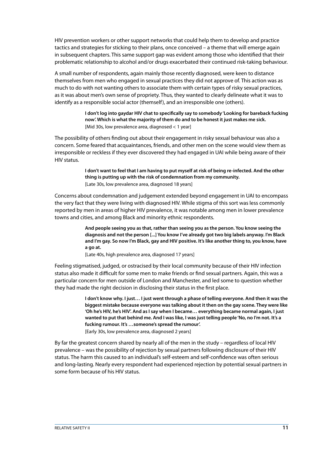HIV prevention workers or other support networks that could help them to develop and practice tactics and strategies for sticking to their plans, once conceived – a theme that will emerge again in subsequent chapters. This same support gap was evident among those who identified that their problematic relationship to alcohol and/or drugs exacerbated their continued risk-taking behaviour.

A small number of respondents, again mainly those recently diagnosed, were keen to distance themselves from men who engaged in sexual practices they did not approve of. This action was as much to do with not wanting others to associate them with certain types of risky sexual practices, as it was about men's own sense of propriety. Thus, they wanted to clearly delineate what it was to identify as a responsible social actor (themself), and an irresponsible one (others).

> **I don't log into gaydar HIV chat to specifically say to somebody 'Looking for bareback fucking now'. Which is what the majority of them do and to be honest it just makes me sick.** [Mid 30s, low prevalence area, diagnosed < 1 year]

The possibility of others finding out about their engagement in risky sexual behaviour was also a concern. Some feared that acquaintances, friends, and other men on the scene would view them as irresponsible or reckless if they ever discovered they had engaged in UAI while being aware of their HIV status.

> **I don't want to feel that I am having to put myself at risk of being re-infected. And the other thing is putting up with the risk of condemnation from my community.** [Late 30s, low prevalence area, diagnosed 18 years]

Concerns about condemnation and judgement extended beyond engagement in UAI to encompass the very fact that they were living with diagnosed HIV. While stigma of this sort was less commonly reported by men in areas of higher HIV prevalence, it was notable among men in lower prevalence towns and cities, and among Black and minority ethnic respondents.

> **And people seeing you as that, rather than seeing you as the person. You know seeing the diagnosis and not the person [...] You know I've already got two big labels anyway. I'm Black and I'm gay. So now I'm Black, gay and HIV positive. It's like another thing to, you know, have a go at.**

[Late 40s, high prevalence area, diagnosed 17 years]

Feeling stigmatised, judged, or ostracised by their local community because of their HIV infection status also made it difficult for some men to make friends or find sexual partners. Again, this was a particular concern for men outside of London and Manchester, and led some to question whether they had made the right decision in disclosing their status in the first place.

> **I don't know why. I just… I just went through a phase of telling everyone. And then it was the biggest mistake because everyone was talking about it then on the gay scene. They were like 'Oh he's HIV, he's HIV'. And as I say when I became… everything became normal again, I just wanted to put that behind me. And I was like, I was just telling people 'No, no I'm not. It's a fucking rumour. It's …someone's spread the rumour'.**

[Early 30s, low prevalence area, diagnosed 2 years]

By far the greatest concern shared by nearly all of the men in the study – regardless of local HIV prevalence – was the possibility of rejection by sexual partners following disclosure of their HIV status. The harm this caused to an individual's self-esteem and self-confidence was often serious and long-lasting. Nearly every respondent had experienced rejection by potential sexual partners in some form because of his HIV status.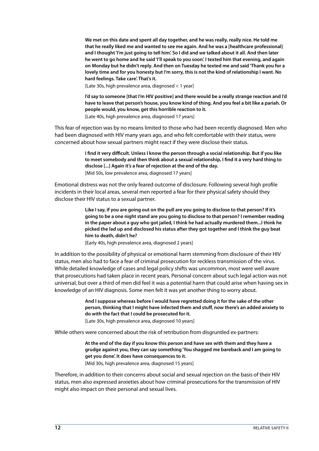**We met on this date and spent all day together, and he was really, really nice. He told me that he really liked me and wanted to see me again. And he was a [healthcare professional] and I thought 'I'm just going to tell him'. So I did and we talked about it all. And then later he went to go home and he said 'I'll speak to you soon'. I texted him that evening, and again on Monday but he didn't reply. And then on Tuesday he texted me and said 'Thank you for a lovely time and for you honesty but I'm sorry, this is not the kind of relationship I want. No hard feelings. Take care'. That's it.**

[Late 30s, high prevalence area, diagnosed < 1 year]

**I'd say to someone [that I'm HIV positive] and there would be a really strange reaction and I'd have to leave that person's house, you know kind of thing. And you feel a bit like a pariah. Or people would, you know, get this horrible reaction to it.** [Late 40s, high prevalence area, diagnosed 17 years]

This fear of rejection was by no means limited to those who had been recently diagnosed. Men who had been diagnosed with HIV many years ago, and who felt comfortable with their status, were concerned about how sexual partners might react if they were disclose their status.

> **I find it very difficult. Unless I know the person through a social relationship. But if you like to meet somebody and then think about a sexual relationship, I find it a very hard thing to disclose [...] Again it's a fear of rejection at the end of the day.** [Mid 50s, low prevalence area, diagnosed 17 years]

Emotional distress was not the only feared outcome of disclosure. Following several high profile incidents in their local areas, several men reported a fear for their physical safety should they disclose their HIV status to a sexual partner.

> **Like I say, if you are going out on the pull are you going to disclose to that person? If it's going to be a one night stand are you going to disclose to that person? I remember reading in the paper about a guy who got jailed, I think he had actually murdered them...I think he picked the lad up and disclosed his status after they got together and I think the guy beat him to death, didn't he?**

[Early 40s, high prevalence area, diagnosed 2 years]

In addition to the possibility of physical or emotional harm stemming from disclosure of their HIV status, men also had to face a fear of criminal prosecution for reckless transmission of the virus. While detailed knowledge of cases and legal policy shifts was uncommon, most were well aware that prosecutions had taken place in recent years. Personal concern about such legal action was not universal, but over a third of men did feel it was a potential harm that could arise when having sex in knowledge of an HIV diagnosis. Some men felt it was yet another thing to worry about.

> **And I suppose whereas before I would have regretted doing it for the sake of the other person, thinking that I might have infected them and stuff, now there's an added anxiety to do with the fact that I could be prosecuted for it.**

[Late 30s, high prevalence area, diagnosed 10 years]

While others were concerned about the risk of retribution from disgruntled ex-partners:

**At the end of the day if you know this person and have sex with them and they have a grudge against you, they can say something 'You shagged me bareback and I am going to get you done'. It does have consequences to it.**

[Mid 30s, high prevalence area, diagnosed 15 years]

Therefore, in addition to their concerns about social and sexual rejection on the basis of their HIV status, men also expressed anxieties about how criminal prosecutions for the transmission of HIV might also impact on their personal and sexual lives.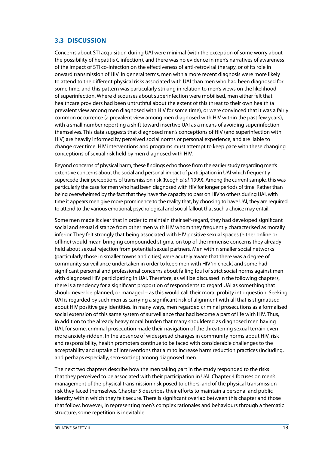#### <span id="page-14-0"></span>**3.3 Discussion**

Concerns about STI acquisition during UAI were minimal (with the exception of some worry about the possibility of hepatitis C infection), and there was no evidence in men's narratives of awareness of the impact of STI co-infection on the effectiveness of anti-retroviral therapy, or of its role in onward transmission of HIV. In general terms, men with a more recent diagnosis were more likely to attend to the different physical risks associated with UAI than men who had been diagnosed for some time, and this pattern was particularly striking in relation to men's views on the likelihood of superinfection. Where discourses about superinfection were mobilised, men either felt that healthcare providers had been untruthful about the extent of this threat to their own health (a prevalent view among men diagnosed with HIV for some time), or were convinced that it was a fairly common occurrence (a prevalent view among men diagnosed with HIV within the past few years), with a small number reporting a shift toward insertive UAI as a means of avoiding superinfection themselves. This data suggests that diagnosed men's conceptions of HIV (and superinfection with HIV) are heavily informed by perceived social norms or personal experience, and are liable to change over time. HIV interventions and programs must attempt to keep pace with these changing conceptions of sexual risk held by men diagnosed with HIV.

Beyond concerns of physical harm, these findings echo those from the earlier study regarding men's extensive concerns about the social and personal impact of participation in UAI which frequently supercede their perceptions of transmission risk (Keogh *et al.* 1999). Among the current sample, this was particularly the case for men who had been diagnosed with HIV for longer periods of time. Rather than being overwhelmed by the fact that they have the capacity to pass on HIV to others during UAI, with time it appears men give more prominence to the reality that, by choosing to have UAI, they are required to attend to the various emotional, psychological and social fallout that such a choice may entail.

Some men made it clear that in order to maintain their self-regard, they had developed significant social and sexual distance from other men with HIV whom they frequently characterised as morally inferior. They felt strongly that being associated with HIV positive sexual spaces (either online or offline) would mean bringing compounded stigma, on top of the immense concerns they already held about sexual rejection from potential sexual partners. Men within smaller social networks (particularly those in smaller towns and cities) were acutely aware that there was a degree of community surveillance undertaken in order to keep men with HIV 'in check', and some had significant personal and professional concerns about falling foul of strict social norms against men with diagnosed HIV participating in UAI. Therefore, as will be discussed in the following chapters, there is a tendency for a significant proportion of respondents to regard UAI as something that should never be planned, or managed – as this would call their moral probity into question. Seeking UAI is regarded by such men as carrying a significant risk of alignment with all that is stigmatised about HIV positive gay identities. In many ways, men regarded criminal prosecutions as a formalised social extension of this same system of surveillance that had become a part of life with HIV. Thus, in addition to the already heavy moral burden that many shouldered as diagnosed men having UAI, for some, criminal prosecution made their navigation of the threatening sexual terrain even more anxiety-ridden. In the absence of widespread changes in community norms about HIV, risk and responsibility, health promoters continue to be faced with considerable challenges to the acceptability and uptake of interventions that aim to increase harm reduction practices (including, and perhaps especially, sero-sorting) among diagnosed men.

The next two chapters describe how the men taking part in the study responded to the risks that they perceived to be associated with their participation in UAI. Chapter 4 focuses on men's management of the physical transmission risk posed to others, and of the physical transmission risk they faced themselves. Chapter 5 describes their efforts to maintain a personal and public identity within which they felt secure. There is significant overlap between this chapter and those that follow, however, in representing men's complex rationales and behaviours through a thematic structure, some repetition is inevitable.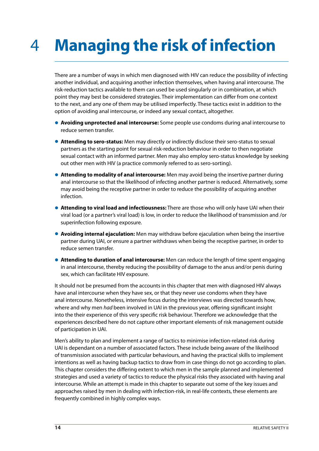### <span id="page-15-0"></span>**Managing the risk of infection** 4

There are a number of ways in which men diagnosed with HIV can reduce the possibility of infecting another individual, and acquiring another infection themselves, when having anal intercourse. The risk-reduction tactics available to them can used be used singularly or in combination, at which point they may best be considered strategies. Their implementation can differ from one context to the next, and any one of them may be utilised imperfectly. These tactics exist in addition to the option of avoiding anal intercourse, or indeed any sexual contact, altogether.

- **• Avoiding unprotected anal intercourse:** Some people use condoms during anal intercourse to reduce semen transfer.
- **Attending to sero-status:** Men may directly or indirectly disclose their sero-status to sexual partners as the starting point for sexual risk-reduction behaviour in order to then negotiate sexual contact with an informed partner. Men may also employ sero-status knowledge by seeking out other men with HIV (a practice commonly referred to as sero-sorting).
- **• Attending to modality of anal intercourse:** Men may avoid being the insertive partner during anal intercourse so that the likelihood of infecting another partner is reduced. Alternatively, some may avoid being the receptive partner in order to reduce the possibility of acquiring another infection.
- **• Attending to viral load and infectiousness:** There are those who will only have UAI when their viral load (or a partner's viral load) is low, in order to reduce the likelihood of transmission and /or superinfection following exposure.
- **• Avoiding internal ejaculation:** Men may withdraw before ejaculation when being the insertive partner during UAI, or ensure a partner withdraws when being the receptive partner, in order to reduce semen transfer.
- **• Attending to duration of anal intercourse:** Men can reduce the length of time spent engaging in anal intercourse, thereby reducing the possibility of damage to the anus and/or penis during sex, which can facilitate HIV exposure.

It should not be presumed from the accounts in this chapter that men with diagnosed HIV always have anal intercourse when they have sex, or that they never use condoms when they have anal intercourse. Nonetheless, intensive focus during the interviews was directed towards how, where and why men *had* been involved in UAI in the previous year, offering significant insight into the their experience of this very specific risk behaviour. Therefore we acknowledge that the experiences described here do not capture other important elements of risk management outside of participation in UAI.

Men's ability to plan and implement a range of tactics to minimise infection-related risk during UAI is dependant on a number of associated factors. These include being aware of the likelihood of transmission associated with particular behaviours, and having the practical skills to implement intentions as well as having backup tactics to draw from in case things do not go according to plan. This chapter considers the differing extent to which men in the sample planned and implemented strategies and used a variety of tactics to reduce the physical risks they associated with having anal intercourse. While an attempt is made in this chapter to separate out some of the key issues and approaches raised by men in dealing with infection-risk, in real-life contexts, these elements are frequently combined in highly complex ways.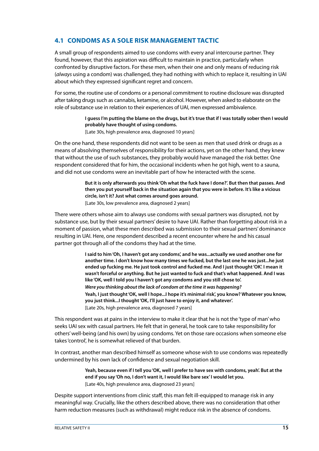#### <span id="page-16-0"></span>**4.1 Condoms as a sole risk management tactic**

A small group of respondents aimed to use condoms with every anal intercourse partner. They found, however, that this aspiration was difficult to maintain in practice, particularly when confronted by disruptive factors. For these men, when their one and only means of reducing risk (*always* using a condom) was challenged, they had nothing with which to replace it, resulting in UAI about which they expressed significant regret and concern.

For some, the routine use of condoms or a personal commitment to routine disclosure was disrupted after taking drugs such as cannabis, ketamine, or alcohol. However, when asked to elaborate on the role of substance use in relation to their experiences of UAI, men expressed ambivalence.

> **I guess I'm putting the blame on the drugs, but it's true that if I was totally sober then I would probably have thought of using condoms.** [Late 30s, high prevalence area, diagnosed 10 years]

On the one hand, these respondents did not want to be seen as men that used drink or drugs as a means of absolving themselves of responsibility for their actions, yet on the other hand, they knew that without the use of such substances, they probably would have managed the risk better. One respondent considered that for him, the occasional incidents when he got high, went to a sauna, and did not use condoms were an inevitable part of how he interacted with the scene.

> **But it is only afterwards you think 'Oh what the fuck have I done?'. But then that passes. And then you put yourself back in the situation again that you were in before. It's like a vicious circle, isn't it? Just what comes around goes around.** [Late 30s, low prevalence area, diagnosed 2 years]

There were others whose aim to always use condoms with sexual partners was disrupted, not by substance use, but by their sexual partners' desire to have UAI. Rather than forgetting about risk in a moment of passion, what these men described was submission to their sexual partners' dominance resulting in UAI. Here, one respondent described a recent encounter where he and his casual partner got through all of the condoms they had at the time.

> **I said to him 'Oh, I haven't got any condoms', and he was...actually we used another one for another time. I don't know how many times we fucked, but the last one he was just...he just ended up fucking me. He just took control and fucked me. And I just thought 'OK'. I mean it wasn't forceful or anything. But he just wanted to fuck and that's what happened. And I was like 'OK, well I told you I haven't got any condoms and you still chose to'.** *Were you thinking about the lack of condom at the time it was happening?* **Yeah, I just thought 'OK, well I hope...I hope it's minimal risk', you know? Whatever you know, you just think...I thought 'OK, I'll just have to enjoy it, and whatever'.** [Late 20s, high prevalence area, diagnosed 7 years]

This respondent was at pains in the interview to make it clear that he is not the 'type of man' who seeks UAI sex with casual partners. He felt that in general, he took care to take responsibility for others' well-being (and his own) by using condoms. Yet on those rare occasions when someone else takes 'control', he is somewhat relieved of that burden.

In contrast, another man described himself as someone whose wish to use condoms was repeatedly undermined by his own lack of confidence and sexual negotiation skill.

> **Yeah, because even if I tell you 'OK, well I prefer to have sex with condoms, yeah'. But at the end if you say 'Oh no, I don't want it, I would like bare sex' I would let you.**  [Late 40s, high prevalence area, diagnosed 23 years]

Despite support interventions from clinic staff, this man felt ill-equipped to manage risk in any meaningful way. Crucially, like the others described above, there was no consideration that other harm reduction measures (such as withdrawal) might reduce risk in the absence of condoms.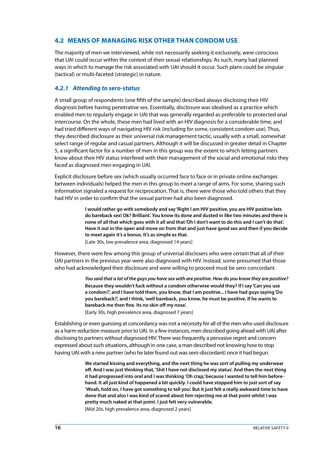#### <span id="page-17-0"></span>**4.2 Means of managing risk other than condom use**

The majority of men we interviewed, while not necessarily seeking it exclusively, were conscious that UAI could occur within the context of their sexual relationships. As such, many had planned ways in which to manage the risk associated with UAI should it occur. Such plans could be singular (tactical) or multi-faceted (strategic) in nature.

#### *4.2.1 Attending to sero-status*

A small group of respondents (one fifth of the sample) described always disclosing their HIV diagnosis before having penetrative sex. Essentially, disclosure was idealised as a practice which enabled men to regularly engage in UAI that was generally regarded as preferable to protected anal intercourse. On the whole, these men had lived with an HIV diagnosis for a considerable time, and had tried different ways of navigating HIV risk (including for some, consistent condom use). Thus, they described disclosure as their universal risk management tactic, usually with a small, somewhat select range of regular and casual partners. Although it will be discussed in greater detail in Chapter 5, a significant factor for a number of men in this group was the extent to which letting partners know about their HIV status interfered with their management of the social and emotional risks they faced as diagnosed men engaging in UAI.

Explicit disclosure before sex (which usually occurred face to face or in private online exchanges between individuals) helped the men in this group to meet a range of aims. For some, sharing such information signaled a request for reciprocation. That is, there were those who told others that they had HIV in order to confirm that the sexual partner had also been diagnosed.

> **I would rather go with somebody and say 'Right I am HIV positive, you are HIV positive lets do bareback sex! Ok? Brilliant'. You know its done and dusted in like two minutes and there is none of all that which goes with it all and that 'Oh I don't want to do this and I can't do that'. Have it out in the open and move on from that and just have good sex and then if you decide to meet again it's a bonus. It's as simple as that.**

[Late 30s, low prevalence area, diagnosed 14 years]

However, there were few among this group of universal disclosers who were *certain* that all of their UAI partners in the previous year were also diagnosed with HIV. Instead, some presumed that those who had acknowledged their disclosure and were willing to proceed must be sero-concordant.

> *You said that a lot of the guys you have sex with are positive. How do you know they are positive?*  **Because they wouldn't fuck without a condom otherwise would they? If I say 'Can you use a condom?', and I have told them, you know, that I am positive... I have had guys saying 'Do you bareback?', and I think, 'well bareback, you know, he must be positive. If he wants to bareback me then fine. Its no skin off my nose'.**

[Early 30s, high prevalence area, diagnosed 7 years]

Establishing or even guessing at concordancy was not a necessity for all of the men who used disclosure as a harm reduction measure prior to UAI. In a few instances, men described going ahead with UAI after disclosing to partners without diagnosed HIV. There was frequently a pervasive regret and concern expressed about such situations, although in one case, a man described not knowing how to stop having UAI with a new partner (who he later found out was sero-discordant) once it had begun.

> **We started kissing and everything, and the next thing he was sort of pulling my underwear off. And I was just thinking that, 'Shit I have not disclosed my status'. And then the next thing**  it had progressed into oral and I was thinking 'Oh crap,' because I wanted to tell him before**hand. It all just kind of happened a bit quickly. I could have stopped him to just sort of say 'Woah, hold on, I have got something to tell you'. But it just felt a really awkward time to have done that and also I was kind of scared about him rejecting me at that point whilst I was pretty much naked at that point. I just felt very vulnerable.**

[Mid 20s, high prevalence area, diagnosed 2 years]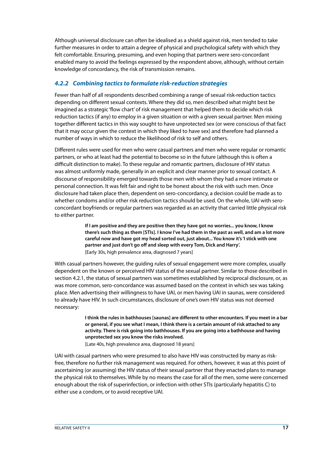Although universal disclosure can often be idealised as a shield against risk, men tended to take further measures in order to attain a degree of physical and psychological safety with which they felt comfortable. Ensuring, presuming, and even hoping that partners were sero-concordant enabled many to avoid the feelings expressed by the respondent above, although, without certain knowledge of concordancy, the risk of transmission remains.

#### *4.2.2 Combining tactics to formulate risk-reduction strategies*

Fewer than half of all respondents described combining a range of sexual risk-reduction tactics depending on different sexual contexts. Where they did so, men described what might best be imagined as a strategic 'flow chart' of risk management that helped them to decide which risk reduction tactics (if any) to employ in a given situation or with a given sexual partner. Men mixing together different tactics in this way sought to have unprotected sex (or were conscious of that fact that it may occur given the context in which they liked to have sex) and therefore had planned a number of ways in which to reduce the likelihood of risk to self and others.

Different rules were used for men who were casual partners and men who were regular or romantic partners, or who at least had the potential to become so in the future (although this is often a difficult distinction to make). To these regular and romantic partners, disclosure of HIV status was almost uniformly made, generally in an explicit and clear manner prior to sexual contact. A discourse of responsibility emerged towards those men with whom they had a more intimate or personal connection. It was felt fair and right to be honest about the risk with such men. Once disclosure had taken place then, dependent on sero-concordancy, a decision could be made as to whether condoms and/or other risk reduction tactics should be used. On the whole, UAI with seroconcordant boyfriends or regular partners was regarded as an activity that carried little physical risk to either partner.

> **If I am positive and they are positive then they have got no worries... you know, I know there's such thing as them [STIs]. I know I've had them in the past as well, and am a lot more careful now and have got my head sorted out, just about... You know it's 'I stick with one partner and just don't go off and sleep with every Tom, Dick and Harry'.** [Early 30s, high prevalence area, diagnosed 7 years]

With casual partners however, the guiding rules of sexual engagement were more complex, usually dependent on the known or perceived HIV status of the sexual partner. Similar to those described in section 4.2.1, the status of sexual partners was sometimes established by reciprocal disclosure, or, as was more common, sero-concordance was assumed based on the context in which sex was taking place. Men advertising their willingness to have UAI, or men having UAI in saunas, were considered to already have HIV. In such circumstances, disclosure of one's own HIV status was not deemed necessary:

> **I think the rules in bathhouses [saunas] are different to other encounters. If you meet in a bar or general, if you see what I mean, I think there is a certain amount of risk attached to any activity. There is risk going into bathhouses. If you are going into a bathhouse and having unprotected sex you know the risks involved.** [Late 40s, high prevalence area, diagnosed 18 years]

UAI with casual partners who were presumed to also have HIV was constructed by many as riskfree, therefore no further risk management was required. For others, however, it was at this point of ascertaining (or assuming) the HIV status of their sexual partner that they enacted plans to manage the physical risk to themselves. While by no means the case for all of the men, some were concerned enough about the risk of superinfection, or infection with other STIs (particularly hepatitis C) to either use a condom, or to avoid receptive UAI.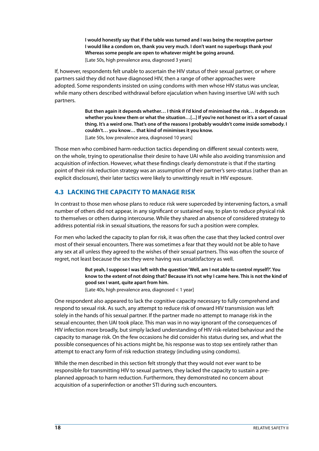**I would honestly say that if the table was turned and I was being the receptive partner I would like a condom on, thank you very much. I don't want no superbugs thank you! Whereas some people are open to whatever might be going around.** [Late 50s, high prevalence area, diagnosed 3 years]

<span id="page-19-0"></span>If, however, respondents felt unable to ascertain the HIV status of their sexual partner, or where partners said they did not have diagnosed HIV, then a range of other approaches were adopted. Some respondents insisted on using condoms with men whose HIV status was unclear, while many others described withdrawal before ejaculation when having insertive UAI with such partners.

> **But then again it depends whether… I think if I'd kind of minimised the risk… it depends on whether you knew them or what the situation…[...] If you're not honest or it's a sort of casual thing. It's a weird one. That's one of the reasons I probably wouldn't come inside somebody. I couldn't… you know… that kind of minimises it you know.** [Late 50s, low prevalence area, diagnosed 10 years]

Those men who combined harm-reduction tactics depending on different sexual contexts were, on the whole, trying to operationalise their desire to have UAI while also avoiding transmission and acquisition of infection. However, what these findings clearly demonstrate is that if the starting point of their risk reduction strategy was an assumption of their partner's sero-status (rather than an explicit disclosure), their later tactics were likely to unwittingly result in HIV exposure.

#### **4.3 Lacking the capacity to manage risk**

In contrast to those men whose plans to reduce risk were superceded by intervening factors, a small number of others did not appear, in any significant or sustained way, to plan to reduce physical risk to themselves or others during intercourse. While they shared an absence of considered strategy to address potential risk in sexual situations, the reasons for such a position were complex.

For men who lacked the capacity to plan for risk, it was often the case that they lacked control over most of their sexual encounters. There was sometimes a fear that they would not be able to have any sex at all unless they agreed to the wishes of their sexual partners. This was often the source of regret, not least because the sex they were having was unsatisfactory as well.

> **But yeah, I suppose I was left with the question 'Well, am I not able to control myself?'. You know to the extent of not doing that? Because it's not why I came here. This is not the kind of good sex I want, quite apart from him.**

[Late 40s, high prevalence area, diagnosed < 1 year]

One respondent also appeared to lack the cognitive capacity necessary to fully comprehend and respond to sexual risk. As such, any attempt to reduce risk of onward HIV transmission was left solely in the hands of his sexual partner. If the partner made no attempt to manage risk in the sexual encounter, then UAI took place. This man was in no way ignorant of the consequences of HIV infection more broadly, but simply lacked understanding of HIV risk-related behaviour and the capacity to manage risk. On the few occasions he did consider his status during sex, and what the possible consequences of his actions might be, his response was to stop sex entirely rather than attempt to enact any form of risk reduction strategy (including using condoms).

While the men described in this section felt strongly that they would not ever want to be responsible for transmitting HIV to sexual partners, they lacked the capacity to sustain a preplanned approach to harm reduction. Furthermore, they demonstrated no concern about acquisition of a superinfection or another STI during such encounters.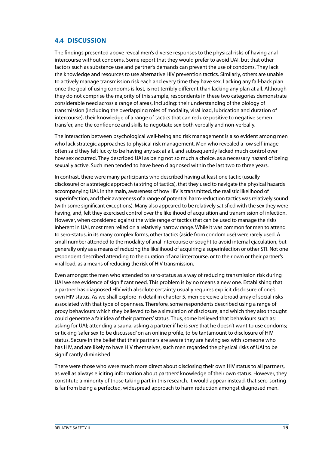#### <span id="page-20-0"></span>**4.4 Discussion**

The findings presented above reveal men's diverse responses to the physical risks of having anal intercourse without condoms. Some report that they would prefer to avoid UAI, but that other factors such as substance use and partner's demands can prevent the use of condoms. They lack the knowledge and resources to use alternative HIV prevention tactics. Similarly, others are unable to actively manage transmission risk each and every time they have sex. Lacking any fall-back plan once the goal of using condoms is lost, is not terribly different than lacking any plan at all. Although they do not comprise the majority of this sample, respondents in these two categories demonstrate considerable need across a range of areas, including: their understanding of the biology of transmission (including the overlapping roles of modality, viral load, lubrication and duration of intercourse), their knowledge of a range of tactics that can reduce positive to negative semen transfer, and the confidence and skills to negotiate sex both verbally and non-verbally.

The interaction between psychological well-being and risk management is also evident among men who lack strategic approaches to physical risk management. Men who revealed a low self-image often said they felt lucky to be having any sex at all, and subsequently lacked much control over how sex occurred. They described UAI as being not so much a choice, as a necessary hazard of being sexually active. Such men tended to have been diagnosed within the last two to three years.

In contrast, there were many participants who described having at least one tactic (usually disclosure) or a strategic approach (a string of tactics), that they used to navigate the physical hazards accompanying UAI. In the main, awareness of how HIV is transmitted, the realistic likelihood of superinfection, and their awareness of a range of potential harm-reduction tactics was relatively sound (with some significant exceptions). Many also appeared to be relatively satisfied with the sex they were having, and, felt they exercised control over the likelihood of acquisition and transmission of infection. However, when considered against the wide range of tactics that can be used to manage the risks inherent in UAI, most men relied on a relatively narrow range. While it was common for men to attend to sero-status, in its many complex forms, other tactics (aside from condom use) were rarely used. A small number attended to the modality of anal intercourse or sought to avoid internal ejaculation, but generally only as a means of reducing the likelihood of acquiring a superinfection or other STI. Not one respondent described attending to the duration of anal intercourse, or to their own or their partner's viral load, as a means of reducing the risk of HIV transmission.

Even amongst the men who attended to sero-status as a way of reducing transmission risk during UAI we see evidence of significant need. This problem is by no means a new one. Establishing that a partner has diagnosed HIV with absolute certainty usually requires explicit disclosure of one's own HIV status. As we shall explore in detail in chapter 5, men perceive a broad array of social risks associated with that type of openness. Therefore, some respondents described using a range of proxy behaviours which they believed to be a simulation of disclosure, and which they also thought could generate a fair idea of their partners' status. Thus, some believed that behaviours such as: asking for UAI; attending a sauna; asking a partner if he is *sure* that he doesn't want to use condoms; or ticking 'safer sex to be discussed' on an online profile, to be tantamount to disclosure of HIV status. Secure in the belief that their partners are aware they are having sex with someone who has HIV, and are likely to have HIV themselves, such men regarded the physical risks of UAI to be significantly diminished.

There were those who were much more direct about disclosing their own HIV status to all partners, as well as always eliciting information about partners' knowledge of their own status. However, they constitute a minority of those taking part in this research. It would appear instead, that sero-sorting is far from being a perfected, widespread approach to harm reduction amongst diagnosed men.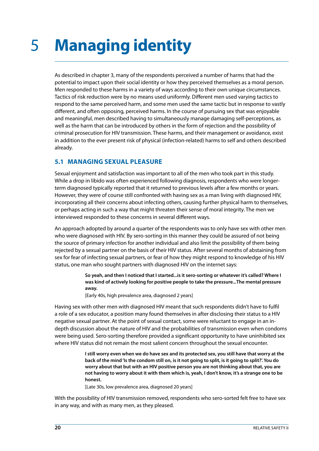# <span id="page-21-0"></span>5 **Managing identity**

As described in chapter 3, many of the respondents perceived a number of harms that had the potential to impact upon their social identity or how they perceived themselves as a moral person. Men responded to these harms in a variety of ways according to their own unique circumstances. Tactics of risk reduction were by no means used uniformly. Different men used varying tactics to respond to the same perceived harm, and some men used the same tactic but in response to vastly different, and often opposing, perceived harms. In the course of pursuing sex that was enjoyable and meaningful, men described having to simultaneously manage damaging self-perceptions, as well as the harm that can be introduced by others in the form of rejection and the possibility of criminal prosecution for HIV transmission. These harms, and their management or avoidance, exist in addition to the ever present risk of physical (infection-related) harms to self and others described already.

#### **5.1 Managing sexual pleasure**

Sexual enjoyment and satisfaction was important to all of the men who took part in this study. While a drop in libido was often experienced following diagnosis, respondents who were longerterm diagnosed typically reported that it returned to previous levels after a few months or years. However, they were of course still confronted with having sex as a man living with diagnosed HIV, incorporating all their concerns about infecting others, causing further physical harm to themselves, or perhaps acting in such a way that might threaten their sense of moral integrity. The men we interviewed responded to these concerns in several different ways.

An approach adopted by around a quarter of the respondents was to only have sex with other men who were diagnosed with HIV. By sero-sorting in this manner they could be assured of not being the source of primary infection for another individual and also limit the possibility of them being rejected by a sexual partner on the basis of their HIV status. After several months of abstaining from sex for fear of infecting sexual partners, or fear of how they might respond to knowledge of his HIV status, one man who sought partners with diagnosed HIV on the internet says:

> **So yeah, and then I noticed that I started...is it sero-sorting or whatever it's called? Where I was kind of actively looking for positive people to take the pressure...The mental pressure away.**

[Early 40s, high prevalence area, diagnosed 2 years]

Having sex with other men with diagnosed HIV meant that such respondents didn't have to fulfil a role of a sex educator, a position many found themselves in after disclosing their status to a HIV negative sexual partner. At the point of sexual contact, some were reluctant to engage in an indepth discussion about the nature of HIV and the probabilities of transmission even when condoms were being used. Sero-sorting therefore provided a significant opportunity to have uninhibited sex where HIV status did not remain the most salient concern throughout the sexual encounter.

> **I still worry even when we do have sex and its protected sex, you still have that worry at the back of the mind 'Is the condom still on, is it not going to split, is it going to split?'. You do worry about that but with an HIV positive person you are not thinking about that, you are not having to worry about it with them which is, yeah, I don't know, it's a strange one to be honest.**

[Late 30s, low prevalence area, diagnosed 20 years]

With the possibility of HIV transmission removed, respondents who sero-sorted felt free to have sex in any way, and with as many men, as they pleased.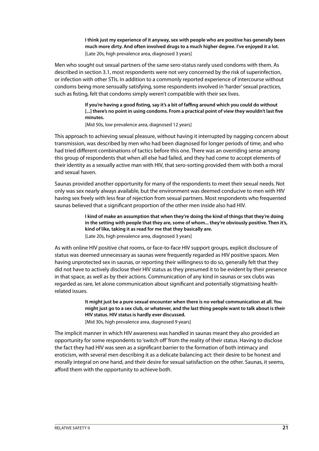**I think just my experience of it anyway, sex with people who are positive has generally been much more dirty. And often involved drugs to a much higher degree. I've enjoyed it a lot.** [Late 20s, high prevalence area, diagnosed 3 years]

Men who sought out sexual partners of the same sero-status rarely used condoms with them. As described in section 3.1, most respondents were not very concerned by the risk of superinfection, or infection with other STIs. In addition to a commonly reported experience of intercourse without condoms being more sensually satisfying, some respondents involved in 'harder' sexual practices, such as fisting, felt that condoms simply weren't compatible with their sex lives.

> **If you're having a good fisting, say it's a bit of faffing around which you could do without [...] there's no point in using condoms. From a practical point of view they wouldn't last five minutes.**

[Mid 50s, low prevalence area, diagnosed 12 years]

This approach to achieving sexual pleasure, without having it interrupted by nagging concern about transmission, was described by men who had been diagnosed for longer periods of time, and who had tried different combinations of tactics before this one. There was an overriding sense among this group of respondents that when all else had failed, and they had come to accept elements of their identity as a sexually active man with HIV, that sero-sorting provided them with both a moral and sexual haven.

Saunas provided another opportunity for many of the respondents to meet their sexual needs. Not only was sex nearly always available, but the environment was deemed conducive to men with HIV having sex freely with less fear of rejection from sexual partners. Most respondents who frequented saunas believed that a significant proportion of the other men inside also had HIV.

> **I kind of make an assumption that when they're doing the kind of things that they're doing in the setting with people that they are, some of whom... they're obviously positive. Then it's, kind of like, taking it as read for me that they basically are.**

[Late 20s, high prevalence area, diagnosed 3 years]

As with online HIV positive chat rooms, or face-to-face HIV support groups, explicit disclosure of status was deemed unnecessary as saunas were frequently regarded as HIV positive spaces. Men having unprotected sex in saunas, or reporting their willingness to do so, generally felt that they did not have to actively disclose their HIV status as they presumed it to be evident by their presence in that space, as well as by their actions. Communication of any kind in saunas or sex clubs was regarded as rare, let alone communication about significant and potentially stigmatising healthrelated issues.

> **It might just be a pure sexual encounter when there is no verbal communication at all. You might just go to a sex club, or whatever, and the last thing people want to talk about is their HIV status. HIV status is hardly ever discussed.**

[Mid 30s, high prevalence area, diagnosed 9 years]

The implicit manner in which HIV awareness was handled in saunas meant they also provided an opportunity for some respondents to 'switch off' from the reality of their status. Having to disclose the fact they had HIV was seen as a significant barrier to the formation of both intimacy and eroticism, with several men describing it as a delicate balancing act: their desire to be honest and morally integral on one hand, and their desire for sexual satisfaction on the other. Saunas, it seems, afford them with the opportunity to achieve both.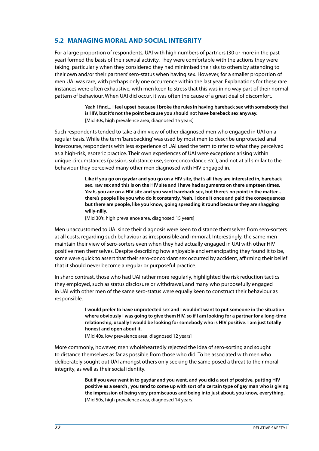#### <span id="page-23-0"></span>**5.2 Managing moral and social integrity**

For a large proportion of respondents, UAI with high numbers of partners (30 or more in the past year) formed the basis of their sexual activity. They were comfortable with the actions they were taking, particularly when they considered they had minimised the risks to others by attending to their own and/or their partners' sero-status when having sex. However, for a smaller proportion of men UAI was rare, with perhaps only one occurrence within the last year. Explanations for these rare instances were often exhaustive, with men keen to stress that this was in no way part of their normal pattern of behaviour. When UAI did occur, it was often the cause of a great deal of discomfort.

> **Yeah I find... I feel upset because I broke the rules in having bareback sex with somebody that is HIV, but it's not the point because you should not have bareback sex anyway.**  [Mid 30s, high prevalence area, diagnosed 15 years]

Such respondents tended to take a dim view of other diagnosed men who engaged in UAI on a regular basis. While the term 'barebacking' was used by most men to describe unprotected anal intercourse, respondents with less experience of UAI used the term to refer to what they perceived as a high-risk, esoteric practice. Their own experiences of UAI were exceptions arising within unique circumstances (passion, substance use, sero-concordance *etc*.), and not at all similar to the behaviour they perceived many other men diagnosed with HIV engaged in.

> **Like if you go on gaydar and you go on a HIV site, that's all they are interested in, bareback sex, raw sex and this is on the HIV site and I have had arguments on there umpteen times. Yeah, you are on a HIV site and you want bareback sex, but there's no point in the matter... there's people like you who do it constantly. Yeah, I done it once and paid the consequences but there are people, like you know, going spreading it round because they are shagging willy-nilly.**

[Mid 30's, high prevalence area, diagnosed 15 years]

Men unaccustomed to UAI since their diagnosis were keen to distance themselves from sero-sorters at all costs, regarding such behaviour as irresponsible and immoral. Interestingly, the same men maintain their view of sero-sorters even when they had actually engaged in UAI with other HIV positive men themselves. Despite describing how enjoyable and emancipating they found it to be, some were quick to assert that their sero-concordant sex occurred by accident, affirming their belief that it should never become a regular or purposeful practice.

In sharp contrast, those who had UAI rather more regularly, highlighted the risk reduction tactics they employed, such as status disclosure or withdrawal, and many who purposefully engaged in UAI with other men of the same sero-status were equally keen to construct their behaviour as responsible.

> **I would prefer to have unprotected sex and I wouldn't want to put someone in the situation where obviously I was going to give them HIV, so if I am looking for a partner for a long-time relationship, usually I would be looking for somebody who is HIV positive. I am just totally honest and open about it.**

[Mid 40s, low prevalence area, diagnosed 12 years]

More commonly, however, men wholeheartedly rejected the idea of sero-sorting and sought to distance themselves as far as possible from those who did. To be associated with men who deliberately sought out UAI amongst others only seeking the same posed a threat to their moral integrity, as well as their social identity.

> **But if you ever went in to gaydar and you went, and you did a sort of positive, putting HIV positive as a search , you tend to come up with sort of a certain type of gay man who is giving the impression of being very promiscuous and being into just about, you know, everything.**  [Mid 50s, high prevalence area, diagnosed 14 years]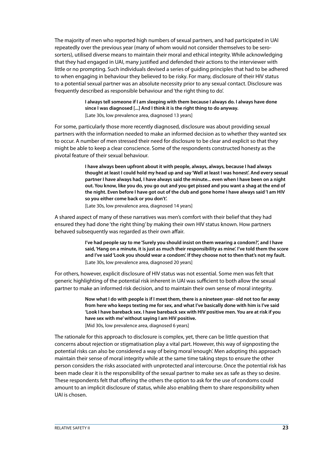The majority of men who reported high numbers of sexual partners, and had participated in UAI repeatedly over the previous year (many of whom would not consider themselves to be serosorters), utilised diverse means to maintain their moral and ethical integrity. While acknowledging that they had engaged in UAI, many justified and defended their actions to the interviewer with little or no prompting. Such individuals devised a series of guiding principles that had to be adhered to when engaging in behaviour they believed to be risky. For many, disclosure of their HIV status to a potential sexual partner was an absolute necessity prior to any sexual contact. Disclosure was frequently described as responsible behaviour and 'the right thing to do'.

> **I always tell someone if I am sleeping with them because I always do. I always have done since I was diagnosed [...] And I think it is the right thing to do anyway.** [Late 30s, low prevalence area, diagnosed 13 years]

For some, particularly those more recently diagnosed, disclosure was about providing sexual partners with the information needed to make an informed decision as to whether they wanted sex to occur. A number of men stressed their need for disclosure to be clear and explicit so that they might be able to keep a clear conscience. Some of the respondents constructed honesty as the pivotal feature of their sexual behaviour.

> **I have always been upfront about it with people, always, always, because I had always thought at least I could hold my head up and say 'Well at least I was honest'. And every sexual partner I have always had, I have always said the minute... even when I have been on a night out. You know, like you do, you go out and you get pissed and you want a shag at the end of the night. Even before I have got out of the club and gone home I have always said 'I am HIV so you either come back or you don't'.**

[Late 30s, low prevalence area, diagnosed 14 years]

A shared aspect of many of these narratives was men's comfort with their belief that they had ensured they had done 'the right thing' by making their own HIV status known. How partners behaved subsequently was regarded as their own affair.

> **I've had people say to me 'Surely you should insist on them wearing a condom?', and I have said, 'Hang on a minute, it is just as much their responsibility as mine'. I've told them the score and I've said 'Look you should wear a condom'. If they choose not to then that's not my fault.** [Late 30s, low prevalence area, diagnosed 20 years]

For others, however, explicit disclosure of HIV status was not essential. Some men was felt that generic highlighting of the potential risk inherent in UAI was sufficient to both allow the sexual partner to make an informed risk decision, and to maintain their own sense of moral integrity.

> **Now what I do with people is if I meet them, there is a nineteen year- old not too far away from here who keeps texting me for sex, and what I've basically done with him is I've said 'Look I have bareback sex. I have bareback sex with HIV positive men. You are at risk if you have sex with me' without saying I am HIV positive.** [Mid 30s, low prevalence area, diagnosed 6 years]

The rationale for this approach to disclosure is complex, yet, there can be little question that concerns about rejection or stigmatisation play a vital part. However, this way of signposting the potential risks can also be considered a way of being moral 'enough'. Men adopting this approach

maintain their sense of moral integrity while at the same time taking steps to ensure the other person considers the risks associated with unprotected anal intercourse. Once the potential risk has been made clear it is the responsibility of the sexual partner to make sex as safe as they so desire. These respondents felt that offering the others the option to ask for the use of condoms could amount to an implicit disclosure of status, while also enabling them to share responsibility when UAI is chosen.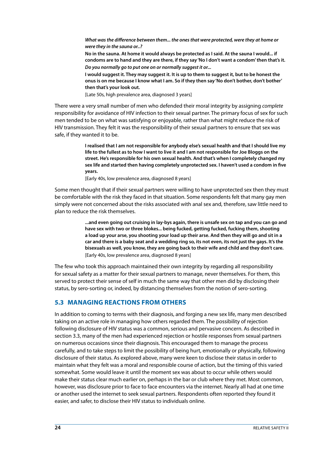<span id="page-25-0"></span>*What was the difference between them... the ones that were protected, were they at home or were they in the sauna or..?*  **No in the sauna. At home it would always be protected as I said. At the sauna I would... if condoms are to hand and they are there, if they say 'No I don't want a condom' then that's it.**  *Do you normally go to put one on or normally suggest it or...* **I would suggest it. They may suggest it. It is up to them to suggest it, but to be honest the onus is on me because I know what I am. So if they then say 'No don't bother, don't bother' then that's your look out.** 

[Late 50s, high prevalence area, diagnosed 3 years]

There were a very small number of men who defended their moral integrity by assigning *complete*  responsibility for avoidance of HIV infection to their sexual partner. The primary focus of sex for such men tended to be on what was satisfying or enjoyable, rather than what might reduce the risk of HIV transmission. They felt it was the responsibility of their sexual partners to ensure that sex was safe, if they wanted it to be.

> **I realised that I am not responsible for anybody else's sexual health and that I should live my life to the fullest as to how I want to live it and I am not responsible for Joe Bloggs on the street. He's responsible for his own sexual health. And that's when I completely changed my sex life and started then having completely unprotected sex. I haven't used a condom in five years.**

[Early 40s, low prevalence area, diagnosed 8 years]

Some men thought that if their sexual partners were willing to have unprotected sex then they must be comfortable with the risk they faced in that situation. Some respondents felt that many gay men simply were not concerned about the risks associated with anal sex and, therefore, saw little need to plan to reduce the risk themselves.

> **...and even going out cruising in lay-bys again, there is unsafe sex on tap and you can go and have sex with two or three blokes... being fucked, getting fucked, fucking them, shooting a load up your arse, you shooting your load up their arse. And then they will go and sit in a car and there is a baby seat and a wedding ring so, its not even, its not just the gays. It's the bisexuals as well, you know, they are going back to their wife and child and they don't care.**  [Early 40s, low prevalence area, diagnosed 8 years]

The few who took this approach maintained their own integrity by regarding all responsibility for sexual safety as a matter for their sexual partners to manage, never themselves. For them, this served to protect their sense of self in much the same way that other men did by disclosing their status, by sero-sorting or, indeed, by distancing themselves from the notion of sero-sorting.

#### **5.3 Managing reactions from others**

In addition to coming to terms with their diagnosis, and forging a new sex life, many men described taking on an active role in managing how others regarded them. The possibility of rejection following disclosure of HIV status was a common, serious and pervasive concern. As described in section 3.3, many of the men had experienced rejection or hostile responses from sexual partners on numerous occasions since their diagnosis. This encouraged them to manage the process carefully, and to take steps to limit the possibility of being hurt, emotionally or physically, following disclosure of their status. As explored above, many were keen to disclose their status in order to maintain what they felt was a moral and responsible course of action, but the timing of this varied somewhat. Some would leave it until the moment sex was about to occur while others would make their status clear much earlier on, perhaps in the bar or club where they met. Most common, however, was disclosure prior to face to face encounters via the internet. Nearly all had at one time or another used the internet to seek sexual partners. Respondents often reported they found it easier, and safer, to disclose their HIV status to individuals online.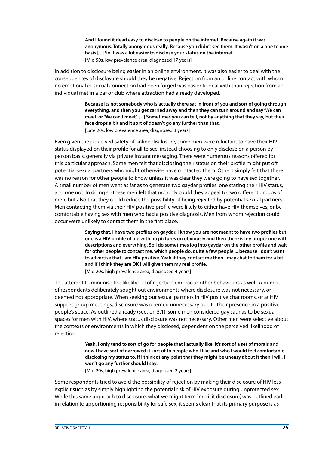**And I found it dead easy to disclose to people on the internet. Because again it was anonymous. Totally anonymous really. Because you didn't see them. It wasn't on a one to one basis [...] So it was a lot easier to disclose your status on the internet.**  [Mid 50s, low prevalence area, diagnosed 17 years]

In addition to disclosure being easier in an online environment, it was also easier to deal with the consequences of disclosure should they be negative. Rejection from an online contact with whom no emotional or sexual connection had been forged was easier to deal with than rejection from an individual met in a bar or club where attraction had already developed.

> **Because its not somebody who is actually there sat in front of you and sort of going through everything, and then you get carried away and then they can turn around and say 'We can meet' or 'We can't meet'. [...] Sometimes you can tell, not by anything that they say, but their face drops a bit and it sort of doesn't go any further than that.**  [Late 20s, low prevalence area, diagnosed 3 years]

Even given the perceived safety of online disclosure, some men were reluctant to have their HIV status displayed on their profile for all to see, instead choosing to only disclose on a person by person basis, generally via private instant messaging. There were numerous reasons offered for this particular approach. Some men felt that disclosing their status on their profile might put off potential sexual partners who might otherwise have contacted them. Others simply felt that there was no reason for other people to know unless it was clear they were going to have sex together. A small number of men went as far as to generate two gaydar profiles: one stating their HIV status, and one not. In doing so these men felt that not only could they appeal to two different groups of men, but also that they could reduce the possibility of being rejected by potential sexual partners. Men contacting them via their HIV positive profile were likely to either have HIV themselves, or be comfortable having sex with men who had a positive diagnosis. Men from whom rejection could occur were unlikely to contact them in the first place.

> **Saying that, I have two profiles on gaydar. I know you are not meant to have two profiles but one is a HIV profile of me with no pictures on obviously and then there is my proper one with descriptions and everything. So I do sometimes log into gaydar on the other profile and wait for other people to contact me, which people do, quite a few people ... because I don't want to advertise that I am HIV positive. Yeah if they contact me then I may chat to them for a bit and if I think they are OK I will give them my real profile.** [Mid 20s, high prevalence area, diagnosed 4 years]

The attempt to minimise the likelihood of rejection embraced other behaviours as well. A number of respondents deliberately sought out environments where disclosure was not necessary, or deemed not appropriate. When seeking out sexual partners in HIV positive chat rooms, or at HIV support group meetings, disclosure was deemed unnecessary due to their presence in a positive people's space. As outlined already (section 5.1), some men considered gay saunas to be sexual spaces for men with HIV, where status disclosure was not necessary. Other men were selective about the contexts or environments in which they disclosed, dependent on the perceived likelihood of rejection.

> **Yeah, I only tend to sort of go for people that I actually like. It's sort of a set of morals and now I have sort of narrowed it sort of to people who I like and who I would feel comfortable disclosing my status to. If I think at any point that they might be uneasy about it then I will, I won't go any further should I say.**

[Mid 20s, high prevalence area, diagnosed 2 years]

Some respondents tried to avoid the possibility of rejection by making their disclosure of HIV less explicit such as by simply highlighting the potential risk of HIV exposure during unprotected sex. While this same approach to disclosure, what we might term 'implicit disclosure', was outlined earlier in relation to apportioning responsibility for safe sex, it seems clear that its primary purpose is as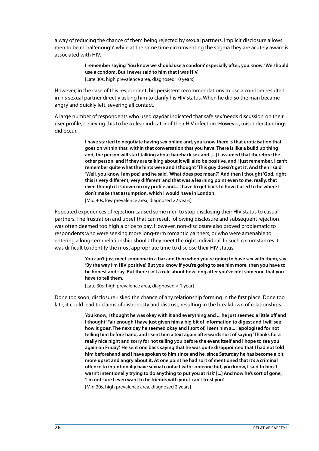a way of reducing the chance of them being rejected by sexual partners. Implicit disclosure allows men to be moral 'enough', while at the same time circumventing the stigma they are acutely aware is associated with HIV.

> **I remember saying 'You know we should use a condom' especially after, you know. 'We should use a condom'. But I never said to him that I was HIV.**  [Late 30s, high prevalence area, diagnosed 10 years]

However, in the case of this respondent, his persistent recommendations to use a condom resulted in his sexual partner directly asking him to clarify his HIV status. When he did so the man became angry and quickly left, severing all contact.

A large number of respondents who used gaydar indicated that safe sex 'needs discussion' on their user profile, believing this to be a clear indicator of their HIV infection. However, misunderstandings did occur.

> **I have started to negotiate having sex online and, you know there is that eroticisation that goes on within that, within that conversation that you have. There is like a build up thing and, the person will start talking about bareback sex and [...] I assumed that therefore the other person, and if they are talking about it will also be positive, and I just remember, I can't remember quite what the hints were and I thought 'This guy doesn't get it'. And then I said 'Well, you know I am poz', and he said, 'What does poz mean?'. And then I thought 'God, right this is very different, very different' and that was a learning point even to me, really, that even though it is down on my profile and... I have to get back to how it used to be where I don't make that assumption, which I would have in London.**

[Mid 40s, low prevalence area, diagnosed 22 years]

Repeated experiences of rejection caused some men to stop disclosing their HIV status to casual partners. The frustration and upset that can result following disclosure and subsequent rejection was often deemed too high a price to pay. However, non-disclosure also proved problematic to respondents who were seeking more long-term romantic partners, or who were amenable to entering a long-term relationship should they meet the right individual. In such circumstances it was difficult to identify the most appropriate time to disclose their HIV status.

> **You can't just meet someone in a bar and then when you're going to have sex with them, say 'By the way I'm HIV positive'. But you know if you're going to see him more, then you have to be honest and say. But there isn't a rule about how long after you've met someone that you have to tell them.**

[Late 30s, high prevalence area, diagnosed < 1 year]

Done too soon, disclosure risked the chance of any relationship forming in the first place. Done too late, it could lead to claims of dishonesty and distrust, resulting in the breakdown of relationships.

> **You know, I thought he was okay with it and everything and ... he just seemed a little off and I thought 'Fair enough I have just given him a big bit of information to digest and I will see how it goes'. The next day he seemed okay and I sort of, I sent him a... I apologised for not telling him before hand, and I sent him a text again afterwards sort of saying 'Thanks for a really nice night and sorry for not telling you before the event itself and I hope to see you again on Friday'. He sent one back saying that he was quite disappointed that I had not told him beforehand and I have spoken to him since and he, since Saturday he has become a bit more upset and angry about it. At one point he had sort of mentioned that it's a criminal offence to intentionally have sexual contact with someone but, you know, I said to him 'I wasn't intentionally trying to do anything to put you at risk' [...] And now he's sort of gone, 'I'm not sure I even want to be friends with you. I can't trust you'.**

[Mid 20s, high prevalence area, diagnosed 2 years]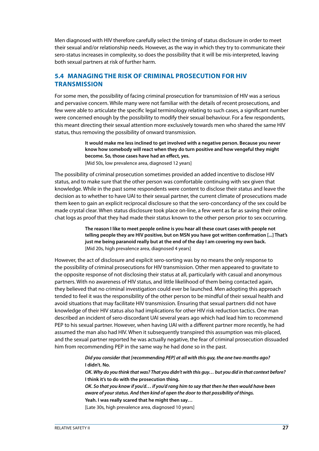<span id="page-28-0"></span>Men diagnosed with HIV therefore carefully select the timing of status disclosure in order to meet their sexual and/or relationship needs. However, as the way in which they try to communicate their sero-status increases in complexity, so does the possibility that it will be mis-interpreted, leaving both sexual partners at risk of further harm.

#### **5.4 Managing the risk of criminal prosecution for HIV transmission**

For some men, the possibility of facing criminal prosecution for transmission of HIV was a serious and pervasive concern. While many were not familiar with the details of recent prosecutions, and few were able to articulate the specific legal terminology relating to such cases, a significant number were concerned enough by the possibility to modify their sexual behaviour. For a few respondents, this meant directing their sexual attention more exclusively towards men who shared the same HIV status, thus removing the possibility of onward transmission.

> **It would make me less inclined to get involved with a negative person. Because you never know how somebody will react when they do turn positive and how vengeful they might become. So, those cases have had an effect, yes.**  [Mid 50s, low prevalence area, diagnosed 12 years]

The possibility of criminal prosecution sometimes provided an added incentive to disclose HIV status, and to make sure that the other person was comfortable continuing with sex given that knowledge. While in the past some respondents were content to disclose their status and leave the decision as to whether to have UAI to their sexual partner, the current climate of prosecutions made them keen to gain an explicit reciprocal disclosure so that the sero-concordancy of the sex could be made crystal clear. When status disclosure took place on-line, a few went as far as saving their online chat logs as proof that they had made their status known to the other person prior to sex occurring.

> **The reason I like to meet people online is you hear all these court cases with people not telling people they are HIV positive, but on MSN you have got written confirmation [...] That's just me being paranoid really but at the end of the day I am covering my own back.** [Mid 20s, high prevalence area, diagnosed 4 years]

However, the act of disclosure and explicit sero-sorting was by no means the only response to the possibility of criminal prosecutions for HIV transmission. Other men appeared to gravitate to the opposite response of not disclosing their status at all, particularly with casual and anonymous partners. With no awareness of HIV status, and little likelihood of them being contacted again, they believed that no criminal investigation could ever be launched. Men adopting this approach tended to feel it was the responsibility of the other person to be mindful of their sexual health and avoid situations that may facilitate HIV transmission. Ensuring that sexual partners did not have knowledge of their HIV status also had implications for other HIV risk reduction tactics. One man described an incident of sero-discordant UAI several years ago which had lead him to recommend PEP to his sexual partner. However, when having UAI with a different partner more recently, he had assumed the man also had HIV. When it subsequently transpired this assumption was mis-placed, and the sexual partner reported he was actually negative, the fear of criminal prosecution dissuaded him from recommending PEP in the same way he had done so in the past.

> *Did you consider that [recommending PEP] at all with this guy, the one two months ago?* **I didn't. No.**

*OK. Why do you think that was? That you didn't with this guy… but you did in that context before?* **I think it's to do with the prosecution thing.**

*OK. So that you know if you'd… if you'd rang him to say that then he then would have been aware of your status. And then kind of open the door to that possibility of things.* **Yeah. I was really scared that he might then say…** 

[Late 30s, high prevalence area, diagnosed 10 years]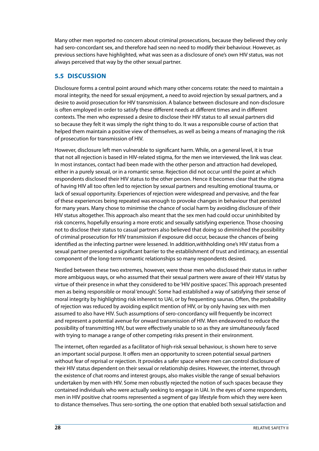<span id="page-29-0"></span>Many other men reported no concern about criminal prosecutions, because they believed they only had sero-concordant sex, and therefore had seen no need to modify their behaviour. However, as previous sections have highlighted, what was seen as a disclosure of one's own HIV status, was not always perceived that way by the other sexual partner.

#### **5.5 Discussion**

Disclosure forms a central point around which many other concerns rotate: the need to maintain a moral integrity, the need for sexual enjoyment, a need to avoid rejection by sexual partners, and a desire to avoid prosecution for HIV transmission. A balance between disclosure and non-disclosure is often employed in order to satisfy these different needs at different times and in different contexts. The men who expressed a desire to disclose their HIV status to all sexual partners did so because they felt it was simply the right thing to do. It was a responsible course of action that helped them maintain a positive view of themselves, as well as being a means of managing the risk of prosecution for transmission of HIV.

However, disclosure left men vulnerable to significant harm. While, on a general level, it is true that not all rejection is based in HIV-related stigma, for the men we interviewed, the link was clear. In most instances, contact had been made with the other person and attraction had developed, either in a purely sexual, or in a romantic sense. Rejection did not occur until the point at which respondents disclosed their HIV status to the other person. Hence it becomes clear that the stigma of having HIV all too often led to rejection by sexual partners and resulting emotional trauma, or lack of sexual opportunity. Experiences of rejection were widespread and pervasive, and the fear of these experiences being repeated was enough to provoke changes in behaviour that persisted for many years. Many chose to minimise the chance of social harm by avoiding disclosure of their HIV status altogether. This approach also meant that the sex men had could occur uninhibited by risk concerns, hopefully ensuring a more erotic and sexually satisfying experience. Those choosing not to disclose their status to casual partners also believed that doing so diminished the possibility of criminal prosecution for HIV transmission if exposure did occur, because the chances of being identified as the infecting partner were lessened. In addition,withholding one's HIV status from a sexual partner presented a significant barrier to the establishment of trust and intimacy, an essential component of the long-term romantic relationships so many respondents desired.

Nestled between these two extremes, however, were those men who disclosed their status in rather more ambiguous ways, or who assumed that their sexual partners were aware of their HIV status by virtue of their presence in what they considered to be 'HIV positive spaces'. This approach presented men as being responsible or moral 'enough'. Some had established a way of satisfying their sense of moral integrity by highlighting risk inherent to UAI, or by frequenting saunas. Often, the probability of rejection was reduced by avoiding explicit mention of HIV, or by only having sex with men assumed to also have HIV. Such assumptions of sero-concordancy will frequently be incorrect and represent a potential avenue for onward transmission of HIV. Men endeavored to reduce the possibility of transmitting HIV, but were effectively unable to so as they are simultaneously faced with trying to manage a range of other competing risks present in their environment.

The internet, often regarded as a facilitator of high-risk sexual behaviour, is shown here to serve an important social purpose. It offers men an opportunity to screen potential sexual partners without fear of reprisal or rejection. It provides a safer space where men can control disclosure of their HIV status dependent on their sexual or relationship desires. However, the internet, through the existence of chat rooms and interest groups, also makes visible the range of sexual behaviors undertaken by men with HIV. Some men robustly rejected the notion of such spaces because they contained individuals who were actually seeking to engage in UAI. In the eyes of some respondents, men in HIV positive chat rooms represented a segment of gay lifestyle from which they were keen to distance themselves. Thus sero-sorting, the one option that enabled both sexual satisfaction and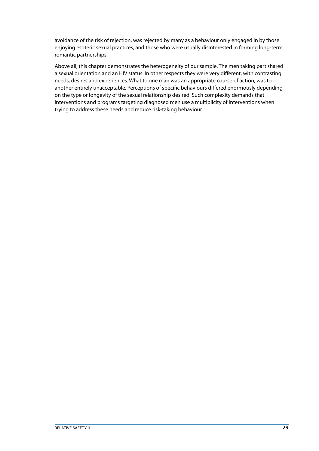avoidance of the risk of rejection, was rejected by many as a behaviour only engaged in by those enjoying esoteric sexual practices, and those who were usually disinterested in forming long-term romantic partnerships.

Above all, this chapter demonstrates the heterogeneity of our sample. The men taking part shared a sexual orientation and an HIV status. In other respects they were very different, with contrasting needs, desires and experiences. What to one man was an appropriate course of action, was to another entirely unacceptable. Perceptions of specific behaviours differed enormously depending on the type or longevity of the sexual relationship desired. Such complexity demands that interventions and programs targeting diagnosed men use a multiplicity of interventions when trying to address these needs and reduce risk-taking behaviour.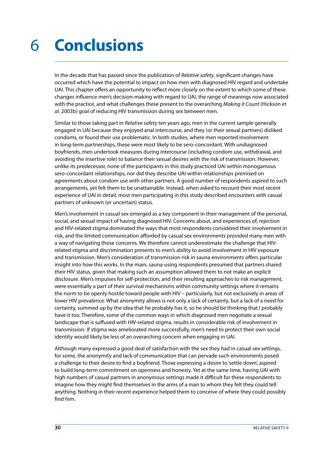### <span id="page-31-0"></span>**Conclusions** 6

In the decade that has passed since the publication of *Relative safety*, significant changes have occurred which have the potential to impact on how men with diagnosed HIV regard and undertake UAI. This chapter offers an opportunity to reflect more closely on the extent to which some of these changes influence men's decision-making with regard to UAI, the range of meanings now associated with the practice, and what challenges these present to the overarching *Making it Count* (Hickson *et al*. 2003b) goal of reducing HIV transmission during sex between men.

Similar to those taking part in *Relative safety* ten years ago, men in the current sample generally engaged in UAI because they enjoyed anal intercourse, and they (or their sexual partners) disliked condoms, or found their use problematic. In both studies, where men reported involvement in long-term partnerships, these were most likely to be sero-concordant. With undiagnosed boyfriends, men undertook measures during intercourse (including condom use, withdrawal, and avoiding the insertive role) to balance their sexual desires with the risk of transmission. However, unlike its predecessor, none of the participants in this study practiced UAI within monogamous sero-concordant relationships, nor did they describe UAI within relationships premised on agreements about condom use with other partners. A good number of respondents aspired to such arrangements, yet felt them to be unattainable. Instead, when asked to recount their most recent experience of UAI in detail, most men participating in this study described encounters with casual partners of unknown (or uncertain) status.

Men's involvement in casual sex emerged as a key component in their management of the personal, social, and sexual impact of having diagnosed HIV. Concerns about, and experiences of, rejection and HIV-related stigma dominated the ways that most respondents considered their involvement in risk, and the limited communication afforded by casual sex environments provided many men with a way of navigating those concerns. We therefore cannot underestimate the challenge that HIVrelated stigma and discrimination presents to men's ability to avoid involvement in HIV exposure and transmission. Men's consideration of transmission risk in sauna environments offers particular insight into how this works. In the main, sauna-using respondents presumed that partners shared their HIV status, given that making such an assumption allowed them to not make an explicit disclosure. Men's impulses for self-protection, and their resulting approaches to risk management, were essentially a part of their survival mechanisms within community settings where it remains the norm to be openly hostile toward people with HIV – particularly, but not exclusively in areas of lower HIV prevalence. What anonymity allows is not only a lack of certainty, but a lack of a need for certainty, summed up by the idea that he probably has it, so he should be thinking that I probably have it too. Therefore, some of the common ways in which diagnosed men negotiate a sexual landscape that is suffused with HIV-related stigma, results in considerable risk of involvement in transmission. If stigma was ameliorated more successfully, men's need to protect their own social identity would likely be less of an overarching concern when engaging in UAI.

Although many expressed a good deal of satisfaction with the sex they had in casual sex settings, for some, the anonymity and lack of communication that can pervade such environments posed a challenge to their desire to find a boyfriend. Those expressing a desire to 'settle down', aspired to build long-term commitment on openness and honesty. Yet at the same time, having UAI with high numbers of casual partners in anonymous settings made it difficult for these respondents to imagine how they might find themselves in the arms of a man to whom they felt they could tell anything. Nothing in their recent experience helped them to conceive of where they could possibly find him.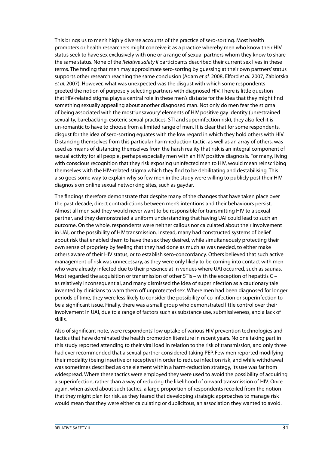This brings us to men's highly diverse accounts of the practice of sero-sorting. Most health promoters or health researchers might conceive it as a practice whereby men who know their HIV status seek to have sex exclusively with one or a range of sexual partners whom they know to share the same status. None of the *Relative safety II* participants described their current sex lives in these terms. The finding that men may approximate sero-sorting by guessing at their own partners' status supports other research reaching the same conclusion (Adam *et al.* 2008, Elford *et al.* 2007, Zablotska *et al.* 2007). However, what was unexpected was the disgust with which some respondents greeted the notion of purposely selecting partners with diagnosed HIV. There is little question that HIV-related stigma plays a central role in these men's distaste for the idea that they might find something sexually appealing about another diagnosed man. Not only do men fear the stigma of being associated with the most 'unsavoury' elements of HIV positive gay identity (unrestrained sexuality, barebacking, esoteric sexual practices, STI and superinfection risk), they also feel it is un-romantic to have to choose from a limited range of men. It is clear that for some respondents, disgust for the idea of sero-sorting equates with the low regard in which they hold others with HIV. Distancing themselves from this particular harm-reduction tactic, as well as an array of others, was used as means of distancing themselves from the harsh reality that risk is an integral component of sexual activity for all people, perhaps especially men with an HIV positive diagnosis. For many, living with conscious recognition that they risk exposing uninfected men to HIV, would mean reinscribing themselves with the HIV-related stigma which they find to be debilitating and destabilising. This also goes some way to explain why so few men in the study were willing to publicly post their HIV diagnosis on online sexual networking sites, such as gaydar.

The findings therefore demonstrate that despite many of the changes that have taken place over the past decade, direct contradictions between men's intentions and their behaviours persist. Almost all men said they would never want to be responsible for transmitting HIV to a sexual partner, and they demonstrated a uniform understanding that having UAI could lead to such an outcome. On the whole, respondents were neither callous nor calculated about their involvement in UAI, or the possibility of HIV transmission. Instead, many had constructed systems of belief about risk that enabled them to have the sex they desired, while simultaneously protecting their own sense of propriety by feeling that they had done as much as was needed, to either make others aware of their HIV status, or to establish sero-concordancy. Others believed that such active management of risk was unnecessary, as they were only likely to be coming into contact with men who were already infected due to their presence at in venues where UAI occurred, such as saunas. Most regarded the acquisition or transmission of other STIs – with the exception of hepatitis C – as relatively inconsequential, and many dismissed the idea of superinfection as a cautionary tale invented by clinicians to warn them off unprotected sex. Where men had been diagnosed for longer periods of time, they were less likely to consider the possibility of co-infection or superinfection to be a significant issue. Finally, there was a small group who demonstrated little control over their involvement in UAI, due to a range of factors such as substance use, submissiveness, and a lack of skills.

Also of significant note, were respondents' low uptake of various HIV prevention technologies and tactics that have dominated the health promotion literature in recent years. No one taking part in this study reported attending to their viral load in relation to the risk of transmission, and only three had ever recommended that a sexual partner considered taking PEP. Few men reported modifying their modality (being insertive or receptive) in order to reduce infection risk, and while withdrawal was sometimes described as one element within a harm-reduction strategy, its use was far from widespread. Where these tactics were employed they were used to avoid the possibility of acquiring a superinfection, rather than a way of reducing the likelihood of onward transmission of HIV. Once again, when asked about such tactics, a large proportion of respondents recoiled from the notion that they might plan for risk, as they feared that developing strategic approaches to manage risk would mean that they were either calculating or duplicitous, an association they wanted to avoid.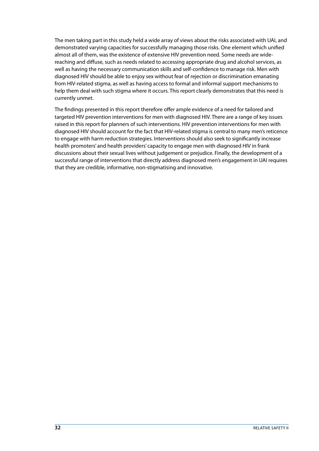The men taking part in this study held a wide array of views about the risks associated with UAI, and demonstrated varying capacities for successfully managing those risks. One element which unified almost all of them, was the existence of extensive HIV prevention need. Some needs are widereaching and diffuse, such as needs related to accessing appropriate drug and alcohol services, as well as having the necessary communication skills and self-confidence to manage risk. Men with diagnosed HIV should be able to enjoy sex without fear of rejection or discrimination emanating from HIV-related stigma, as well as having access to formal and informal support mechanisms to help them deal with such stigma where it occurs. This report clearly demonstrates that this need is currently unmet.

The findings presented in this report therefore offer ample evidence of a need for tailored and targeted HIV prevention interventions for men with diagnosed HIV. There are a range of key issues raised in this report for planners of such interventions. HIV prevention interventions for men with diagnosed HIV should account for the fact that HIV-related stigma is central to many men's reticence to engage with harm reduction strategies. Interventions should also seek to significantly increase health promoters' and health providers' capacity to engage men with diagnosed HIV in frank discussions about their sexual lives without judgement or prejudice. Finally, the development of a successful range of interventions that directly address diagnosed men's engagement in UAI requires that they are credible, informative, non-stigmatising and innovative.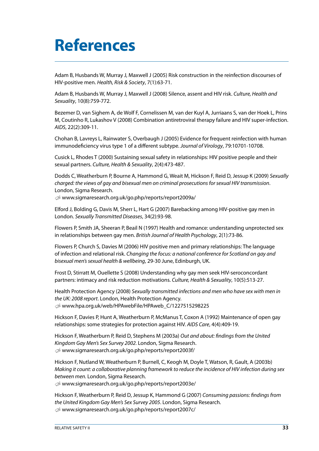# <span id="page-34-0"></span>**References**

Adam B, Husbands W, Murray J, Maxwell J (2005) Risk construction in the reinfection discourses of HIV-positive men. *Health, Risk & Society*, 7(1):63-71.

Adam B, Husbands W, Murray J, Maxwell J (2008) Silence, assent and HIV risk. *Culture, Health and Sexuality*, 10(8):759-772.

Bezemer D, van Sighem A, de Wolf F, Cornelissen M, van der Kuyl A, Jurriaans S, van der Hoek L, Prins M, Coutinho R, Lukashov V (2008) Combination antiretroviral therapy failure and HIV super-infection. *AIDS*, 22(2):309-11.

Chohan B, Lavreys L, Rainwater S, Overbaugh J (2005) Evidence for frequent reinfection with human immunodeficiency virus type 1 of a different subtype. *Journal of Virology*, 79:10701-10708.

Cusick L, Rhodes T (2000) Sustaining sexual safety in relationships: HIV positive people and their sexual partners. *Culture, Health & Sexuality*, 2(4):473-487.

Dodds C, Weatherburn P, Bourne A, Hammond G, Weait M, Hickson F, Reid D, Jessup K (2009) *Sexually charged: the views of gay and bisexual men on criminal prosecutions for sexual HIV transmission*. London, Sigma Research.

U [www.sigmaresearch.org.uk/go.php/reports/report2009a/](http://www.sigmaresearch.org.uk/go.php/reports/report2009a/)

Elford J, Bolding G, Davis M, Sherr L, Hart G (2007) Barebacking among HIV-positive gay men in London. *Sexually Transmitted Diseases*, 34(2):93-98.

Flowers P, Smith JA, Sheeran P, Beail N (1997) Health and romance: understanding unprotected sex in relationships between gay men. *British Journal of Health Psychology*, 2(1):73-86.

Flowers P, Church S, Davies M (2006) HIV positive men and primary relationships: The language of infection and relational risk. *Changing the focus: a national conference for Scotland on gay and bisexual men's sexual health & wellbeing*, 29-30 June, Edinburgh, UK.

Frost D, Stirratt M, Ouellette S (2008) Understanding why gay men seek HIV-seroconcordant partners: intimacy and risk reduction motivations. *Culture, Health & Sexuality*, 10(5):513-27.

Health Protection Agency (2008) *Sexually transmitted infections and men who have sex with men in the UK: 2008 report*. London, Health Protection Agency. U [www.hpa.org.uk/web/HPAwebFile/HPAweb\\_C/1227515298225](http://www.hpa.org.uk/web/HPAwebFile/HPAweb_C/1227515298225)

Hickson F, Davies P, Hunt A, Weatherburn P, McManus T, Coxon A (1992) Maintenance of open gay relationships: some strategies for protection against HIV. *AIDS Care*, 4(4):409-19.

Hickson F, Weatherburn P, Reid D, Stephens M (2003a) *Out and about: findings from the United Kingdom Gay Men's Sex Survey 2002.* London, Sigma Research. U [www.sigmaresearch.org.uk/go.php/reports/report2003f/](http://www.sigmaresearch.org.uk/go.php/reports/report2003f/)

Hickson F, Nutland W, Weatherburn P, Burnell, C, Keogh M, Doyle T, Watson, R, Gault, A (2003b) *Making it count: a collaborative planning framework to reduce the incidence of HIV infection during sex between men.* London, Sigma Research.

 $\mathcal{D}$  [www.sigmaresearch.org.uk/go.php/reports/report2003e/](http://www.sigmaresearch.org.uk/go.php/reports/report2003e/)

Hickson F, Weatherburn P, Reid D, Jessup K, Hammond G (2007) *Consuming passions: findings from the United Kingdom Gay Men's Sex Survey 2005*. London, Sigma Research. U [www.sigmaresearch.org.uk/go.php/reports/report2007c/](http://www.sigmaresearch.org.uk/go.php/reports/report2007c/)